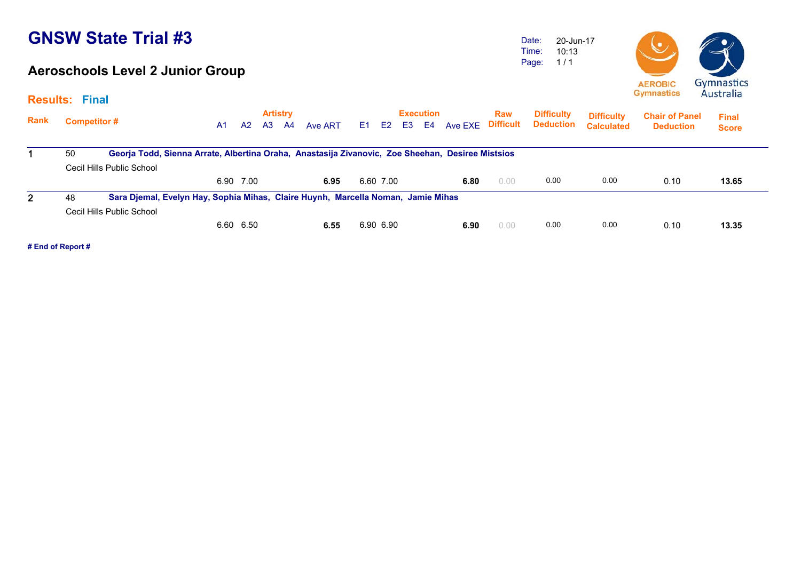#### **Aeroschools Level 2 Junior Group**

Date: Time: Page: 20-Jun-17 10:13 1 / 1



|              | <b>Results: Final</b> |                                                                                                  |    |           |                       |    |         |                |                |    |                        |         |                                |                                       |                                        |                                           | 11 <b>000000000</b>          |
|--------------|-----------------------|--------------------------------------------------------------------------------------------------|----|-----------|-----------------------|----|---------|----------------|----------------|----|------------------------|---------|--------------------------------|---------------------------------------|----------------------------------------|-------------------------------------------|------------------------------|
| Rank         |                       | <b>Competitor #</b>                                                                              | A1 | A2        | <b>Artistry</b><br>A3 | A4 | Ave ART | E <sub>1</sub> | E <sub>2</sub> | E3 | <b>Execution</b><br>E4 | Ave EXE | <b>Raw</b><br><b>Difficult</b> | <b>Difficulty</b><br><b>Deduction</b> | <b>Difficulty</b><br><b>Calculated</b> | <b>Chair of Panel</b><br><b>Deduction</b> | <b>Final</b><br><b>Score</b> |
|              | 50                    | Georja Todd, Sienna Arrate, Albertina Oraha, Anastasija Zivanovic, Zoe Sheehan, Desiree Mistsios |    |           |                       |    |         |                |                |    |                        |         |                                |                                       |                                        |                                           |                              |
|              |                       | Cecil Hills Public School                                                                        |    |           |                       |    |         |                |                |    |                        |         |                                |                                       |                                        |                                           |                              |
|              |                       |                                                                                                  |    | 6.90 7.00 |                       |    | 6.95    |                | 6.60 7.00      |    |                        | 6.80    | 0.00                           | 0.00                                  | 0.00                                   | 0.10                                      | 13.65                        |
| $\mathbf{2}$ | 48                    | Sara Djemal, Evelyn Hay, Sophia Mihas, Claire Huynh, Marcella Noman, Jamie Mihas                 |    |           |                       |    |         |                |                |    |                        |         |                                |                                       |                                        |                                           |                              |
|              |                       | Cecil Hills Public School                                                                        |    |           |                       |    |         |                |                |    |                        |         |                                |                                       |                                        |                                           |                              |
|              |                       |                                                                                                  |    | 6.60 6.50 |                       |    | 6.55    |                | 6.90 6.90      |    |                        | 6.90    | 0.00                           | 0.00                                  | 0.00                                   | 0.10                                      | 13.35                        |
|              |                       |                                                                                                  |    |           |                       |    |         |                |                |    |                        |         |                                |                                       |                                        |                                           |                              |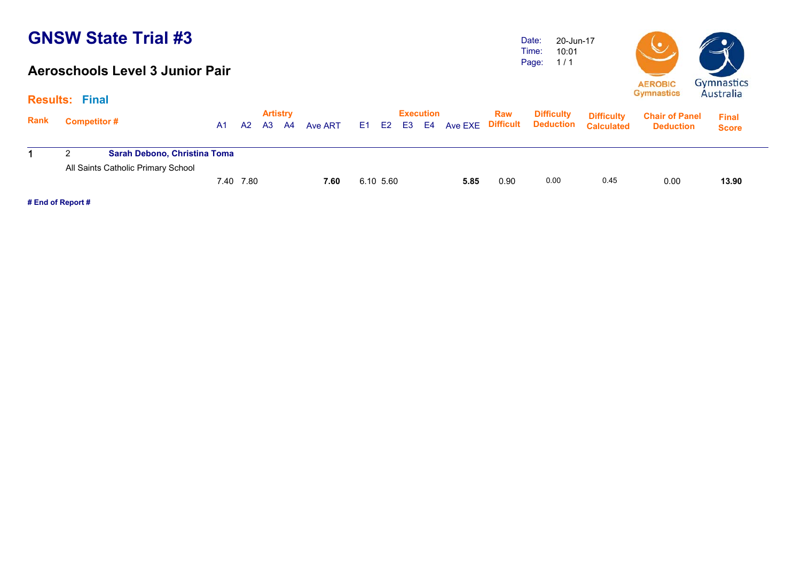#### **Aeroschools Level 3 Junior Pair**

Date: Time: Page: 20-Jun-1710:01 1 / 1



|             | <b>Results: Final</b> |                                     |      |      |                 |       |         |           |           |      |      |                                                              |                                        |                                           | 111111                       |
|-------------|-----------------------|-------------------------------------|------|------|-----------------|-------|---------|-----------|-----------|------|------|--------------------------------------------------------------|----------------------------------------|-------------------------------------------|------------------------------|
| <b>Rank</b> | <b>Competitor#</b>    |                                     | A1   | A2   | <b>Artistry</b> | A3 A4 | Ave ART |           | Execution |      | Raw  | <b>Difficulty</b><br>E1 E2 E3 E4 Ave EXE Difficult Deduction | <b>Difficulty</b><br><b>Calculated</b> | <b>Chair of Panel</b><br><b>Deduction</b> | <b>Final</b><br><b>Score</b> |
|             |                       | <b>Sarah Debono, Christina Toma</b> |      |      |                 |       |         |           |           |      |      |                                                              |                                        |                                           |                              |
|             |                       | All Saints Catholic Primary School  | 7.40 | 7.80 |                 |       | 7.60    | 6.10 5.60 |           | 5.85 | 0.90 | 0.00                                                         | 0.45                                   | 0.00                                      | 13.90                        |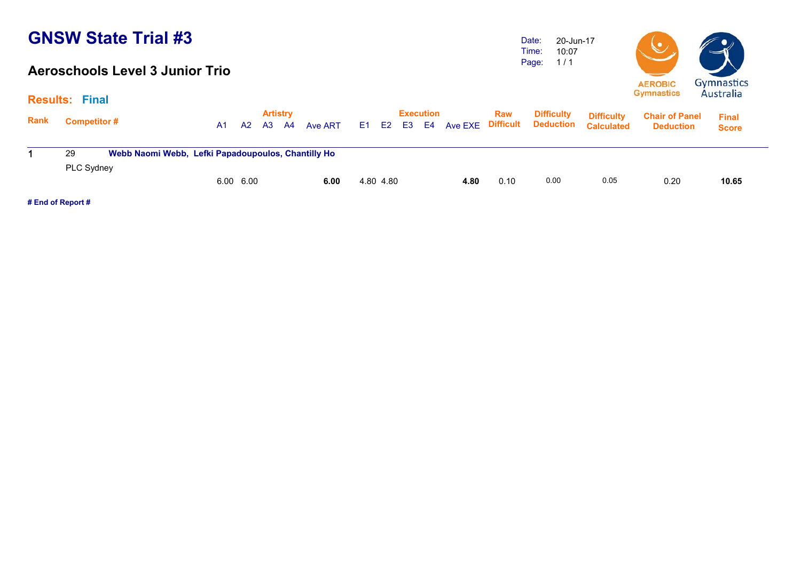#### **Aeroschools Level 3 Junior Trio**

Date: Time: Page: 20-Jun-17 10:07 1 / 1



|             | <b>Results: Final</b>                                    |    |           |                       |    |         |           |                        |                   |            |                                       |                                        |                                           | 114311                       |  |
|-------------|----------------------------------------------------------|----|-----------|-----------------------|----|---------|-----------|------------------------|-------------------|------------|---------------------------------------|----------------------------------------|-------------------------------------------|------------------------------|--|
| <b>Rank</b> | <b>Competitor#</b>                                       | A1 | A2        | <b>Artistry</b><br>A3 | A4 | Ave ART | E1 E2 E3  | <b>Execution</b><br>E4 | Ave EXE Difficult | <b>Raw</b> | <b>Difficulty</b><br><b>Deduction</b> | <b>Difficulty</b><br><b>Calculated</b> | <b>Chair of Panel</b><br><b>Deduction</b> | <b>Final</b><br><b>Score</b> |  |
|             | Webb Naomi Webb, Lefki Papadoupoulos, Chantilly Ho<br>29 |    |           |                       |    |         |           |                        |                   |            |                                       |                                        |                                           |                              |  |
|             | PLC Sydney                                               |    |           |                       |    |         |           |                        |                   |            |                                       |                                        |                                           |                              |  |
|             |                                                          |    | 6.00 6.00 |                       |    | 6.00    | 4.80 4.80 |                        | 4.80              | 0.10       | 0.00                                  | 0.05                                   | 0.20                                      | 10.65                        |  |
|             |                                                          |    |           |                       |    |         |           |                        |                   |            |                                       |                                        |                                           |                              |  |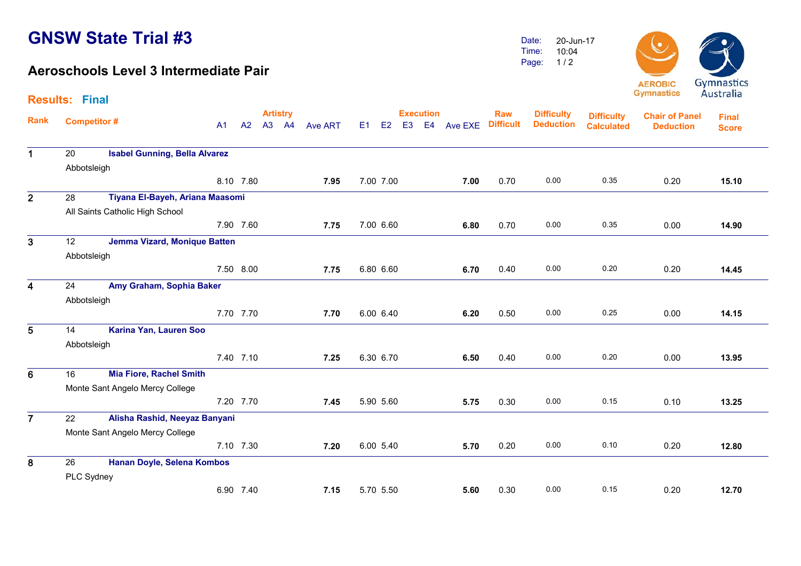**Results: Final**

#### **Aeroschools Level 3 Intermediate Pair**

Date: Time:Page: 20-Jun-1710:041 / 2



**Artistry Execution Rank**Execution Raw Difficulty <sub>Diffic</sub>ulty<br>A1 A2 A3 A4 Ave ART E1 E2 E3 E4 Ave EXE Difficult Deduction <sub>Calculate</sub> **Chair of Panel DeductionFinal ScoreDifficulty DeductionDifficulty Calculated**1 20 **Isabel Gunning, Bella Alvarez** Abbotsleigh 8.10 7.80 **7.95** 7.00 7.00 **7.00** 0.70 0.00 0.35 0.20 **15.10**15.10 2 28 **Tiyana El-Bayeh, Ariana Maasomi** All Saints Catholic High School 7.90 7.60 **7.75** 7.00 6.60 **6.80** 0.70 0.00 0.35 0.00 **14.90** $\overline{3}$  12 **Jemma Vizard, Monique Batten** Abbotsleigh 7.50 8.00 **7.75** 6.80 6.60 **6.70** 0.40 0.00 0.20 0.20 **14.45**4 24 **Amy Graham, Sophia Baker** Abbotsleigh 7.70 7.70 **7.707.70** 6.00 6.40 **6.20** 6.20 0.50 0.00 0.25 0.00 14.15 5 14 **Karina Yan, Lauren Soo** Abbotsleigh 7.40 7.10 **7.25** 6.30 6.70 **6.50** 0.40 0.00 0.20 0.00 **13.95**13.95 6 16 **Mia Fiore, Rachel Smith** Monte Sant Angelo Mercy College 7.20 7.70 **7.45** 5.90 5.60 **5.75** 0.30 0.00 0.15 0.10 **13.25**13.25  $\overline{7}$  22 **Alisha Rashid, Neeyaz Banyani** Monte Sant Angelo Mercy College 7.10 7.30 **7.20** 6.00 5.40 **5.70** 0.20 0.00 0.10 0.20 **12.80**12.80 8 26 **Hanan Doyle, Selena Kombos** PLC Sydney 6.90 7.40 **7.15**5.70 5.50 **5.60** 0.30 0.00 0.15 0.20 **12.70**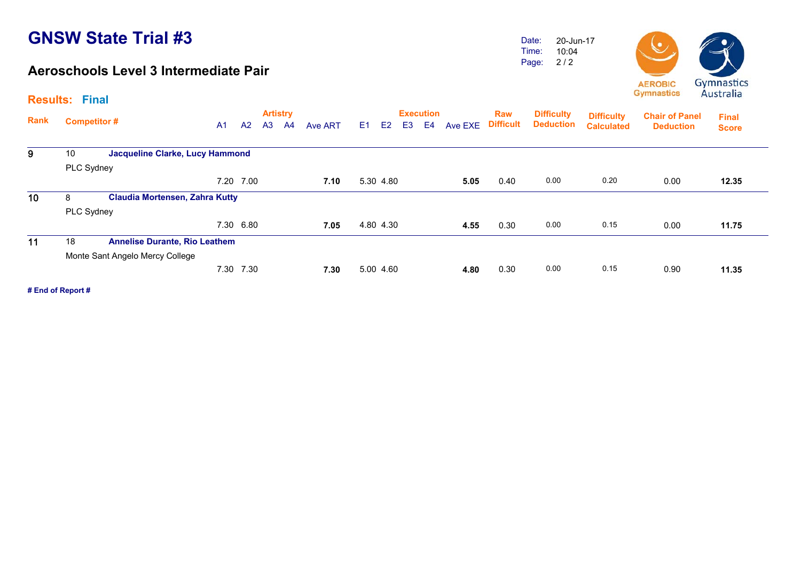#### **Aeroschools Level 3 Intermediate Pair**

Date: Time: Page: 2 / 2 20-Jun-1710:04



|      | <b>Results: Final</b> |                                       |                |                |                |                       |         |                |                |                |                               |         |                         |                                       |                                        |                                           |                              |  |
|------|-----------------------|---------------------------------------|----------------|----------------|----------------|-----------------------|---------|----------------|----------------|----------------|-------------------------------|---------|-------------------------|---------------------------------------|----------------------------------------|-------------------------------------------|------------------------------|--|
| Rank | <b>Competitor#</b>    |                                       | A <sub>1</sub> | A <sub>2</sub> | A <sub>3</sub> | <b>Artistry</b><br>A4 | Ave ART | E <sub>1</sub> | E <sub>2</sub> | E <sub>3</sub> | <b>Execution</b><br><b>E4</b> | Ave EXE | Raw<br><b>Difficult</b> | <b>Difficulty</b><br><b>Deduction</b> | <b>Difficulty</b><br><b>Calculated</b> | <b>Chair of Panel</b><br><b>Deduction</b> | <b>Final</b><br><b>Score</b> |  |
| 9    | 10                    | Jacqueline Clarke, Lucy Hammond       |                |                |                |                       |         |                |                |                |                               |         |                         |                                       |                                        |                                           |                              |  |
|      | PLC Sydney            |                                       |                |                |                |                       |         |                |                |                |                               |         |                         |                                       |                                        |                                           |                              |  |
|      |                       |                                       |                | 7.20 7.00      |                |                       | 7.10    | 5.30 4.80      |                |                |                               | 5.05    | 0.40                    | 0.00                                  | 0.20                                   | 0.00                                      | 12.35                        |  |
| 10   | 8                     | <b>Claudia Mortensen, Zahra Kutty</b> |                |                |                |                       |         |                |                |                |                               |         |                         |                                       |                                        |                                           |                              |  |
|      | PLC Sydney            |                                       |                |                |                |                       |         |                |                |                |                               |         |                         |                                       |                                        |                                           |                              |  |
|      |                       |                                       |                | 7.30 6.80      |                |                       | 7.05    | 4.80 4.30      |                |                |                               | 4.55    | 0.30                    | 0.00                                  | 0.15                                   | 0.00                                      | 11.75                        |  |
| 11   | 18                    | <b>Annelise Durante, Rio Leathem</b>  |                |                |                |                       |         |                |                |                |                               |         |                         |                                       |                                        |                                           |                              |  |
|      |                       | Monte Sant Angelo Mercy College       |                |                |                |                       |         |                |                |                |                               |         |                         |                                       |                                        |                                           |                              |  |
|      |                       |                                       |                | 7.30 7.30      |                |                       | 7.30    | 5.00 4.60      |                |                |                               | 4.80    | 0.30                    | 0.00                                  | 0.15                                   | 0.90                                      | 11.35                        |  |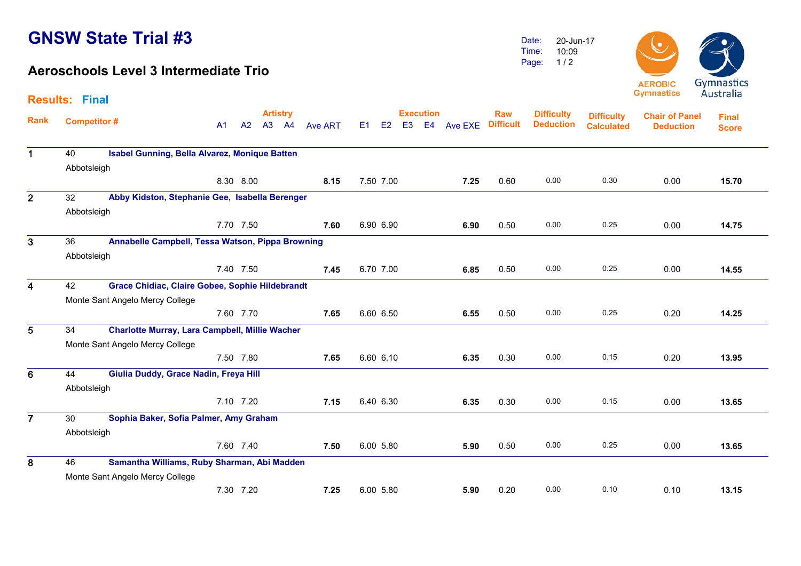#### **Aeroschools Level 3 Intermediate Trio**

Date: Time: Page: 20-Jun-17 10:09 1 / 2



|                | <b>Results: Final</b> |                                                       |                |           |                 |                |    |                      |                  |         |                  |                   |                   |                       |              |
|----------------|-----------------------|-------------------------------------------------------|----------------|-----------|-----------------|----------------|----|----------------------|------------------|---------|------------------|-------------------|-------------------|-----------------------|--------------|
|                |                       |                                                       |                |           | <b>Artistry</b> |                |    |                      | <b>Execution</b> |         | <b>Raw</b>       | <b>Difficulty</b> | <b>Difficulty</b> | <b>Chair of Panel</b> | <b>Final</b> |
| <b>Rank</b>    | <b>Competitor#</b>    |                                                       | A <sub>1</sub> | A2        | A3 A4           | <b>Ave ART</b> | E1 | E2<br>E <sub>3</sub> | E4               | Ave EXE | <b>Difficult</b> | <b>Deduction</b>  | <b>Calculated</b> | <b>Deduction</b>      | <b>Score</b> |
| $\mathbf 1$    | 40                    | Isabel Gunning, Bella Alvarez, Monique Batten         |                |           |                 |                |    |                      |                  |         |                  |                   |                   |                       |              |
|                | Abbotsleigh           |                                                       |                |           |                 |                |    |                      |                  |         |                  |                   |                   |                       |              |
|                |                       |                                                       |                | 8.30 8.00 |                 | 8.15           |    | 7.50 7.00            |                  | 7.25    | 0.60             | 0.00              | 0.30              | 0.00                  | 15.70        |
|                |                       |                                                       |                |           |                 |                |    |                      |                  |         |                  |                   |                   |                       |              |
| $\overline{2}$ | 32                    | Abby Kidston, Stephanie Gee, Isabella Berenger        |                |           |                 |                |    |                      |                  |         |                  |                   |                   |                       |              |
|                | Abbotsleigh           |                                                       |                |           |                 |                |    |                      |                  |         |                  |                   |                   |                       |              |
|                |                       |                                                       |                | 7.70 7.50 |                 | 7.60           |    | 6.90 6.90            |                  | 6.90    | 0.50             | 0.00              | 0.25              | 0.00                  | 14.75        |
| 3              | 36                    | Annabelle Campbell, Tessa Watson, Pippa Browning      |                |           |                 |                |    |                      |                  |         |                  |                   |                   |                       |              |
|                | Abbotsleigh           |                                                       |                |           |                 |                |    |                      |                  |         |                  |                   |                   |                       |              |
|                |                       |                                                       |                | 7.40 7.50 |                 | 7.45           |    | 6.70 7.00            |                  | 6.85    | 0.50             | 0.00              | 0.25              | 0.00                  | 14.55        |
| 4              | 42                    | Grace Chidiac, Claire Gobee, Sophie Hildebrandt       |                |           |                 |                |    |                      |                  |         |                  |                   |                   |                       |              |
|                |                       | Monte Sant Angelo Mercy College                       |                |           |                 |                |    |                      |                  |         |                  |                   |                   |                       |              |
|                |                       |                                                       |                | 7.60 7.70 |                 | 7.65           |    | 6.60 6.50            |                  | 6.55    | 0.50             | 0.00              | 0.25              | 0.20                  | 14.25        |
| 5              | 34                    | <b>Charlotte Murray, Lara Campbell, Millie Wacher</b> |                |           |                 |                |    |                      |                  |         |                  |                   |                   |                       |              |
|                |                       | Monte Sant Angelo Mercy College                       |                |           |                 |                |    |                      |                  |         |                  |                   |                   |                       |              |
|                |                       |                                                       |                | 7.50 7.80 |                 | 7.65           |    | 6.60 6.10            |                  | 6.35    | 0.30             | 0.00              | 0.15              | 0.20                  | 13.95        |
| 6              | 44                    | Giulia Duddy, Grace Nadin, Freya Hill                 |                |           |                 |                |    |                      |                  |         |                  |                   |                   |                       |              |
|                | Abbotsleigh           |                                                       |                |           |                 |                |    |                      |                  |         |                  |                   |                   |                       |              |
|                |                       |                                                       |                | 7.10 7.20 |                 | 7.15           |    | 6.40 6.30            |                  | 6.35    | 0.30             | 0.00              | 0.15              | 0.00                  | 13.65        |
| $\overline{7}$ | 30                    | Sophia Baker, Sofia Palmer, Amy Graham                |                |           |                 |                |    |                      |                  |         |                  |                   |                   |                       |              |
|                | Abbotsleigh           |                                                       |                |           |                 |                |    |                      |                  |         |                  |                   |                   |                       |              |
|                |                       |                                                       |                | 7.60 7.40 |                 | 7.50           |    | 6.00 5.80            |                  | 5.90    | 0.50             | 0.00              | 0.25              | 0.00                  | 13.65        |
| 8              | 46                    | Samantha Williams, Ruby Sharman, Abi Madden           |                |           |                 |                |    |                      |                  |         |                  |                   |                   |                       |              |
|                |                       | Monte Sant Angelo Mercy College                       |                |           |                 |                |    |                      |                  |         |                  |                   |                   |                       |              |
|                |                       |                                                       |                | 7.30 7.20 |                 | 7.25           |    | 6.00 5.80            |                  | 5.90    | 0.20             | 0.00              | 0.10              | 0.10                  | 13.15        |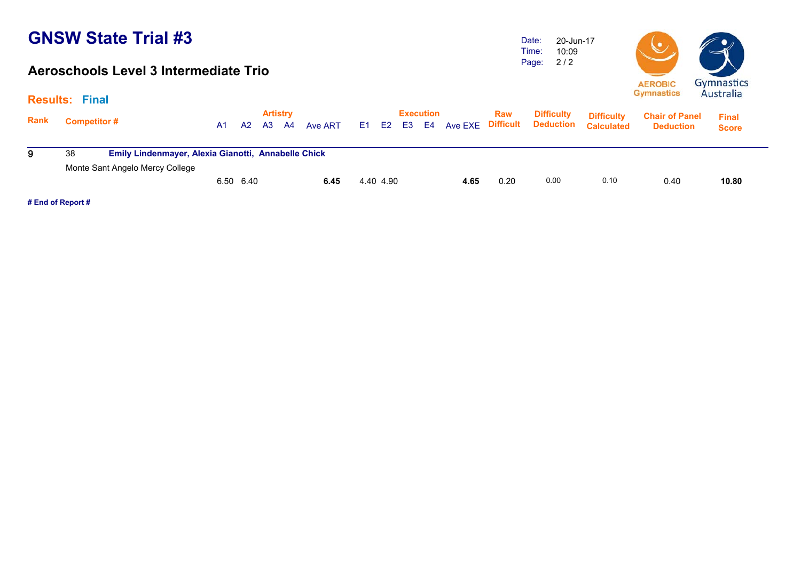#### **Aeroschools Level 3 Intermediate Trio**

Date: Time: Page: 2 / 2 20-Jun-1710:09



|             | <b>Results: Final</b> |                                                     |    |                |    |                       |         |                |           |    |                 |         |                                |                                       |                                        |                                           | 1100                         |
|-------------|-----------------------|-----------------------------------------------------|----|----------------|----|-----------------------|---------|----------------|-----------|----|-----------------|---------|--------------------------------|---------------------------------------|----------------------------------------|-------------------------------------------|------------------------------|
| <b>Rank</b> | <b>Competitor #</b>   |                                                     | A1 | A <sub>2</sub> | A3 | <b>Artistry</b><br>A4 | Ave ART | E <sub>1</sub> | E2        | E3 | Execution<br>E4 | Ave EXE | <b>Raw</b><br><b>Difficult</b> | <b>Difficulty</b><br><b>Deduction</b> | <b>Difficulty</b><br><b>Calculated</b> | <b>Chair of Panel</b><br><b>Deduction</b> | <b>Final</b><br><b>Score</b> |
| -9          | 38                    | Emily Lindenmayer, Alexia Gianotti, Annabelle Chick |    |                |    |                       |         |                |           |    |                 |         |                                |                                       |                                        |                                           |                              |
|             |                       | Monte Sant Angelo Mercy College                     |    |                |    |                       |         |                |           |    |                 |         |                                |                                       |                                        |                                           |                              |
|             |                       |                                                     |    | 6.50 6.40      |    |                       | 6.45    |                | 4.40 4.90 |    |                 | 4.65    | 0.20                           | 0.00                                  | 0.10                                   | 0.40                                      | 10.80                        |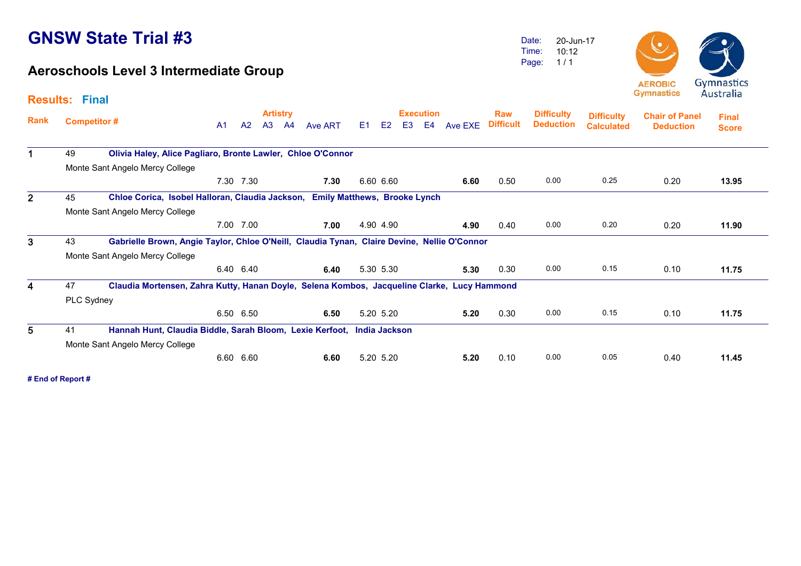#### **Aeroschools Level 3 Intermediate Group**

Date: Time: Page: 20-Jun-17 10:12 1 / 1



|                | <b>Results: Final</b> |                                                                                             |                |           |                       |    |         |    |                |    |                        |         |                                |                                       |                                        |                                           | 114311                       |  |
|----------------|-----------------------|---------------------------------------------------------------------------------------------|----------------|-----------|-----------------------|----|---------|----|----------------|----|------------------------|---------|--------------------------------|---------------------------------------|----------------------------------------|-------------------------------------------|------------------------------|--|
| Rank           | <b>Competitor#</b>    |                                                                                             | A <sub>1</sub> | A2        | <b>Artistry</b><br>A3 | A4 | Ave ART | E1 | E <sub>2</sub> | E3 | <b>Execution</b><br>E4 | Ave EXE | <b>Raw</b><br><b>Difficult</b> | <b>Difficulty</b><br><b>Deduction</b> | <b>Difficulty</b><br><b>Calculated</b> | <b>Chair of Panel</b><br><b>Deduction</b> | <b>Final</b><br><b>Score</b> |  |
| $\mathbf 1$    | 49                    | Olivia Haley, Alice Pagliaro, Bronte Lawler, Chloe O'Connor                                 |                |           |                       |    |         |    |                |    |                        |         |                                |                                       |                                        |                                           |                              |  |
|                |                       | Monte Sant Angelo Mercy College                                                             |                |           |                       |    |         |    |                |    |                        |         |                                |                                       |                                        |                                           |                              |  |
|                |                       |                                                                                             |                | 7.30 7.30 |                       |    | 7.30    |    | 6.60 6.60      |    |                        | 6.60    | 0.50                           | 0.00                                  | 0.25                                   | 0.20                                      | 13.95                        |  |
| $\overline{2}$ | 45                    | Chloe Corica, Isobel Halloran, Claudia Jackson, Emily Matthews, Brooke Lynch                |                |           |                       |    |         |    |                |    |                        |         |                                |                                       |                                        |                                           |                              |  |
|                |                       | Monte Sant Angelo Mercy College                                                             |                |           |                       |    |         |    |                |    |                        |         |                                |                                       |                                        |                                           |                              |  |
|                |                       |                                                                                             |                | 7.00 7.00 |                       |    | 7.00    |    | 4.90 4.90      |    |                        | 4.90    | 0.40                           | 0.00                                  | 0.20                                   | 0.20                                      | 11.90                        |  |
| 3              | 43                    | Gabrielle Brown, Angie Taylor, Chloe O'Neill, Claudia Tynan, Claire Devine, Nellie O'Connor |                |           |                       |    |         |    |                |    |                        |         |                                |                                       |                                        |                                           |                              |  |
|                |                       | Monte Sant Angelo Mercy College                                                             |                |           |                       |    |         |    |                |    |                        |         |                                |                                       |                                        |                                           |                              |  |
|                |                       |                                                                                             |                | 6.40 6.40 |                       |    | 6.40    |    | 5.30 5.30      |    |                        | 5.30    | 0.30                           | 0.00                                  | 0.15                                   | 0.10                                      | 11.75                        |  |
| 4              | 47                    | Claudia Mortensen, Zahra Kutty, Hanan Doyle, Selena Kombos, Jacqueline Clarke, Lucy Hammond |                |           |                       |    |         |    |                |    |                        |         |                                |                                       |                                        |                                           |                              |  |
|                | PLC Sydney            |                                                                                             |                |           |                       |    |         |    |                |    |                        |         |                                |                                       |                                        |                                           |                              |  |
|                |                       |                                                                                             |                | 6.50 6.50 |                       |    | 6.50    |    | 5.20 5.20      |    |                        | 5.20    | 0.30                           | 0.00                                  | 0.15                                   | 0.10                                      | 11.75                        |  |
| 5              | 41                    | Hannah Hunt, Claudia Biddle, Sarah Bloom, Lexie Kerfoot, India Jackson                      |                |           |                       |    |         |    |                |    |                        |         |                                |                                       |                                        |                                           |                              |  |
|                |                       | Monte Sant Angelo Mercy College                                                             |                |           |                       |    |         |    |                |    |                        |         |                                |                                       |                                        |                                           |                              |  |
|                |                       |                                                                                             |                | 6.60 6.60 |                       |    | 6.60    |    | 5.20 5.20      |    |                        | 5.20    | 0.10                           | 0.00                                  | 0.05                                   | 0.40                                      | 11.45                        |  |
|                |                       |                                                                                             |                |           |                       |    |         |    |                |    |                        |         |                                |                                       |                                        |                                           |                              |  |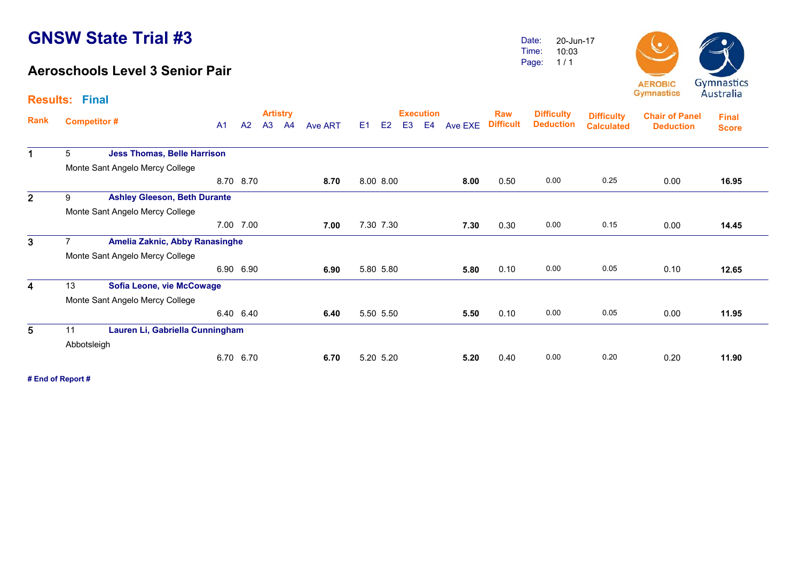**Results: Final**

#### **Aeroschools Level 3 Senior Pair**

Date: Time:Page: 20-Jun-1710:031 / 1



**Artistry Execution Rank**Execution Raw Difficulty <sub>Diffic</sub>ulty<br>A1 A2 A3 A4 Ave ART E1 E2 E3 E4 Ave EXE Difficult Deduction <sub>Calculate</sub> **Chair of Panel DeductionDeduction Deduction Final ScoreDifficulty Difficulty Calculated**1 5 **Jess Thomas, Belle Harrison** Monte Sant Angelo Mercy College 8.70 8.70 **8.70** 8.00 8.00 **8.00** 0.50 0.00 0.25 0.00 **16.95**16.95 2 9 **Ashley Gleeson, Beth Durante** Monte Sant Angelo Mercy College 7.00 7.00 **7.007.00** 7.30 7.30 **7.30** 0.30 0.00 0.15 0.00 14.45 3 7 **Amelia Zaknic, Abby Ranasinghe** Monte Sant Angelo Mercy College 6.90 6.90 **6.90** 5.80 5.80 **5.80** 0.10 0.00 0.05 0.10 **12.65**12.65 4 13 **Sofia Leone, vie McCowage** Monte Sant Angelo Mercy College 6.40 6.40 **6.40** 5.50 5.50 **5.50** 0.10 0.00 0.05 0.00 **11.95**11.95 5 11 **Lauren Li, Gabriella Cunningham** Abbotsleigh 6.70 6.70 **6.70** 5.20 5.20 **5.20** 0.40 0.00 0.20 0.20 **11.90**11.90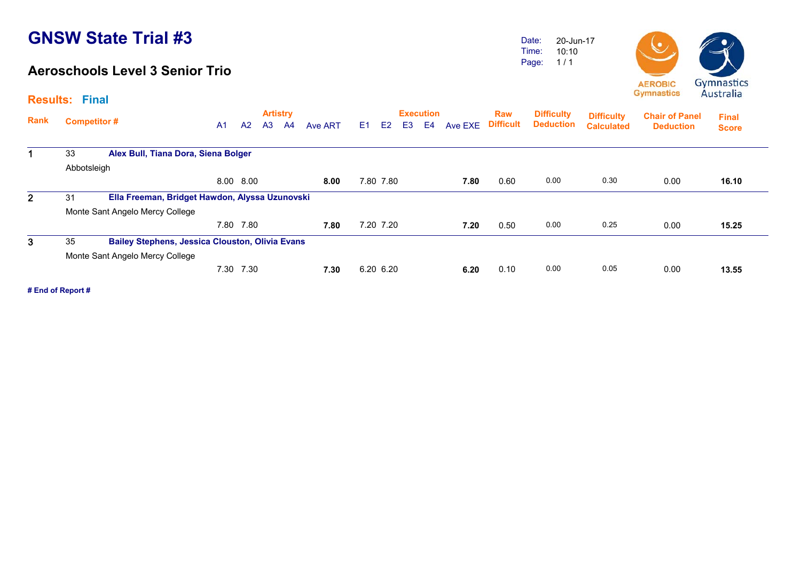#### **Aeroschools Level 3 Senior Trio**

Date: Time: Page: 20-Jun-17 10:10 1 / 1



**Gymnastics Difficulty Difficulty Chair of Panel Final** 

|              |                    |                                                        |                |           |                | <b>Artistry</b> |         |    |           |                | <b>Execution</b> |         | <b>Raw</b>       | <b>Difficulty</b> | <b>Difficulty</b> | <b>Chair of Panel</b> | <b>Final</b> |
|--------------|--------------------|--------------------------------------------------------|----------------|-----------|----------------|-----------------|---------|----|-----------|----------------|------------------|---------|------------------|-------------------|-------------------|-----------------------|--------------|
| Rank         | <b>Competitor#</b> |                                                        | A <sub>1</sub> | A2        | A <sub>3</sub> | A <sup>4</sup>  | Ave ART | E1 | E2        | E <sub>3</sub> | E <sub>4</sub>   | Ave EXE | <b>Difficult</b> | <b>Deduction</b>  | <b>Calculated</b> | <b>Deduction</b>      | <b>Score</b> |
| $\mathbf 1$  | 33                 | Alex Bull, Tiana Dora, Siena Bolger                    |                |           |                |                 |         |    |           |                |                  |         |                  |                   |                   |                       |              |
|              | Abbotsleigh        |                                                        |                |           |                |                 |         |    |           |                |                  |         |                  |                   |                   |                       |              |
|              |                    |                                                        |                | 8.00 8.00 |                |                 | 8.00    |    | 7.80 7.80 |                |                  | 7.80    | 0.60             | 0.00              | 0.30              | 0.00                  | 16.10        |
| $\mathbf{2}$ | 31                 | Ella Freeman, Bridget Hawdon, Alyssa Uzunovski         |                |           |                |                 |         |    |           |                |                  |         |                  |                   |                   |                       |              |
|              |                    | Monte Sant Angelo Mercy College                        |                |           |                |                 |         |    |           |                |                  |         |                  |                   |                   |                       |              |
|              |                    |                                                        | 7.80           | 7.80      |                |                 | 7.80    |    | 7.20 7.20 |                |                  | 7.20    | 0.50             | 0.00              | 0.25              | 0.00                  | 15.25        |
| 3            | 35                 | <b>Bailey Stephens, Jessica Clouston, Olivia Evans</b> |                |           |                |                 |         |    |           |                |                  |         |                  |                   |                   |                       |              |
|              |                    | Monte Sant Angelo Mercy College                        |                |           |                |                 |         |    |           |                |                  |         |                  |                   |                   |                       |              |
|              |                    |                                                        | 7.30           | 7.30      |                |                 | 7.30    |    | 6.20 6.20 |                |                  | 6.20    | 0.10             | 0.00              | 0.05              | 0.00                  | 13.55        |

**# End of Report #**

**Results: Final**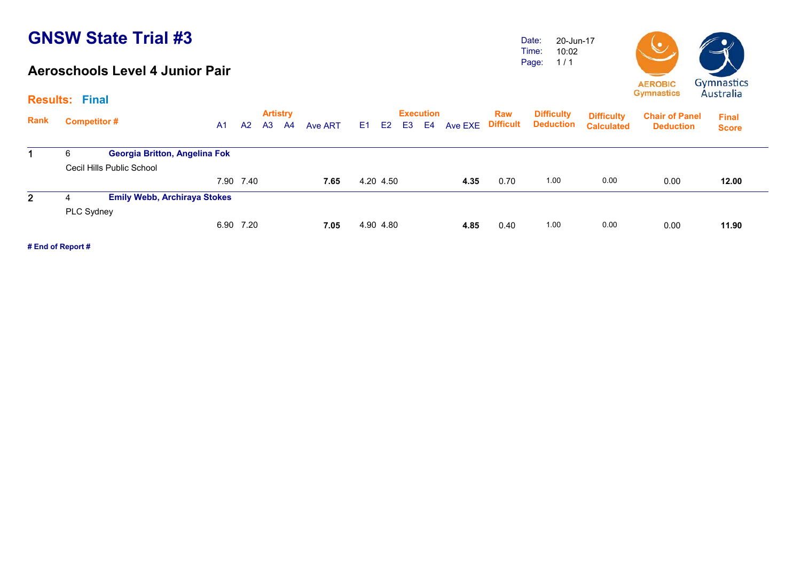#### **Aeroschools Level 4 Junior Pair**

Date: Time: Page: 20-Jun-17 10:02 1 / 1



|                | <b>Results: Final</b> |                                     |                |           |                       |                |         |    |           |                |                        |                   |            |                                       |                                        |                                           | 114311111                    |
|----------------|-----------------------|-------------------------------------|----------------|-----------|-----------------------|----------------|---------|----|-----------|----------------|------------------------|-------------------|------------|---------------------------------------|----------------------------------------|-------------------------------------------|------------------------------|
| Rank           | <b>Competitor #</b>   |                                     | A <sub>1</sub> | A2        | <b>Artistry</b><br>A3 | A <sup>4</sup> | Ave ART | E1 | E2        | E <sub>3</sub> | <b>Execution</b><br>E4 | Ave EXE Difficult | <b>Raw</b> | <b>Difficulty</b><br><b>Deduction</b> | <b>Difficulty</b><br><b>Calculated</b> | <b>Chair of Panel</b><br><b>Deduction</b> | <b>Final</b><br><b>Score</b> |
|                | 6                     | Georgia Britton, Angelina Fok       |                |           |                       |                |         |    |           |                |                        |                   |            |                                       |                                        |                                           |                              |
|                |                       | Cecil Hills Public School           |                |           |                       |                |         |    |           |                |                        |                   |            |                                       |                                        |                                           |                              |
|                |                       |                                     |                | 7.90 7.40 |                       |                | 7.65    |    | 4.20 4.50 |                |                        | 4.35              | 0.70       | 1.00                                  | 0.00                                   | 0.00                                      | 12.00                        |
| $\mathbf{2}^-$ | 4                     | <b>Emily Webb, Archiraya Stokes</b> |                |           |                       |                |         |    |           |                |                        |                   |            |                                       |                                        |                                           |                              |
|                | PLC Sydney            |                                     |                |           |                       |                |         |    |           |                |                        |                   |            |                                       |                                        |                                           |                              |
|                |                       |                                     |                | 6.90 7.20 |                       |                | 7.05    |    | 4.90 4.80 |                |                        | 4.85              | 0.40       | 1.00                                  | 0.00                                   | 0.00                                      | 11.90                        |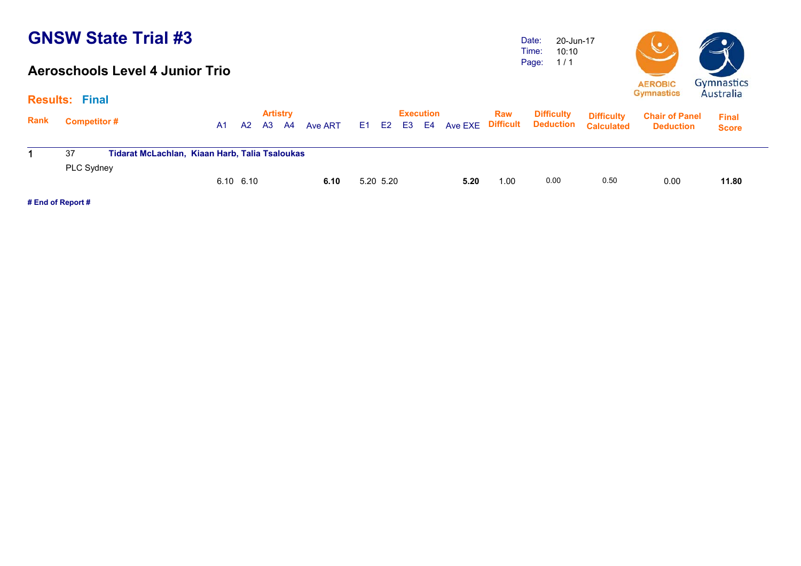#### **Aeroschools Level 4 Junior Trio**

Date: Time: Page: 1 / 1 20-Jun-17 10:10



| Rank | <b>Competitor #</b> |                                                |           |       | <b>Artistry</b> |         |     |           | <b>Execution</b> |      | <b>Raw</b> | <b>Difficulty</b>                    | <b>Difficulty</b> | <b>Chair of Panel</b> | <b>Final</b> |
|------|---------------------|------------------------------------------------|-----------|-------|-----------------|---------|-----|-----------|------------------|------|------------|--------------------------------------|-------------------|-----------------------|--------------|
|      |                     |                                                | A1        | A2 A3 | - A4            | Ave ART | E1. |           |                  |      |            | E2 E3 E4 Ave EXE Difficult Deduction | <b>Calculated</b> | <b>Deduction</b>      | <b>Score</b> |
|      | 37                  | Tidarat McLachlan, Kiaan Harb, Talia Tsaloukas |           |       |                 |         |     |           |                  |      |            |                                      |                   |                       |              |
|      | <b>PLC Sydney</b>   |                                                |           |       |                 |         |     |           |                  |      |            |                                      |                   |                       |              |
|      |                     |                                                | 6.10 6.10 |       |                 | 6.10    |     | 5.20 5.20 |                  | 5.20 | 1.00       | 0.00                                 | 0.50              | 0.00                  | 11.80        |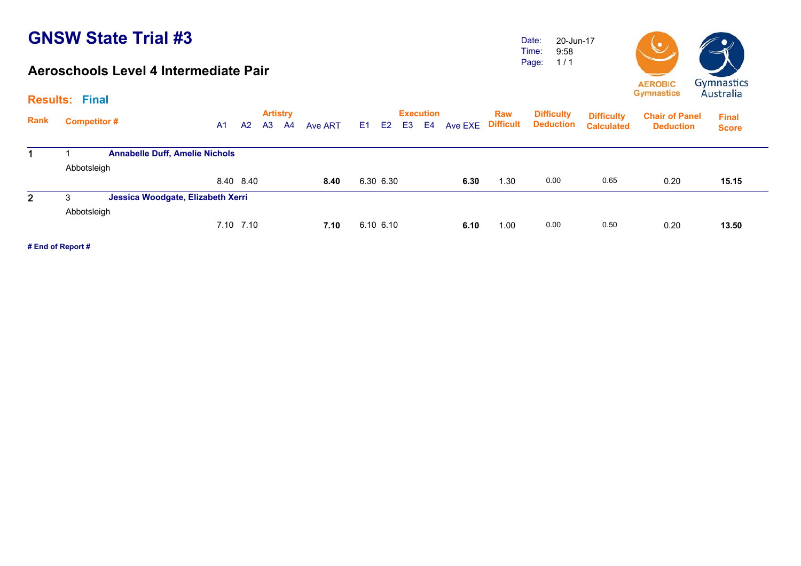#### **Aeroschools Level 4 Intermediate Pair**

Date: Time: Page: 20-Jun-179:58 1 / 1



**Artistry Execution Rank**Execution Raw Difficulty <sub>Diffic</sub>ulty<br>A1 A2 A3 A4 Ave ART E1 E2 E3 E4 Ave EXE Difficult Deduction <sub>Calculate</sub> **Chair of Panel DeductionCalculatedDeduction Results: Final Final Score Difficulty Deduction Difficulty**  1 1 **Annabelle Duff, Amelie Nichols** Abbotsleigh 8.40 8.40 **8.40** 6.30 6.30 **6.30** 1.30 0.00 0.65 0.20 **15.15**15.15 2 3 **Jessica Woodgate, Elizabeth Xerri** Abbotsleigh 7.10 7.10 **7.10** 6.10 6.10 **6.10** 1.00 0.00 0.50 0.20 **13.50**13.50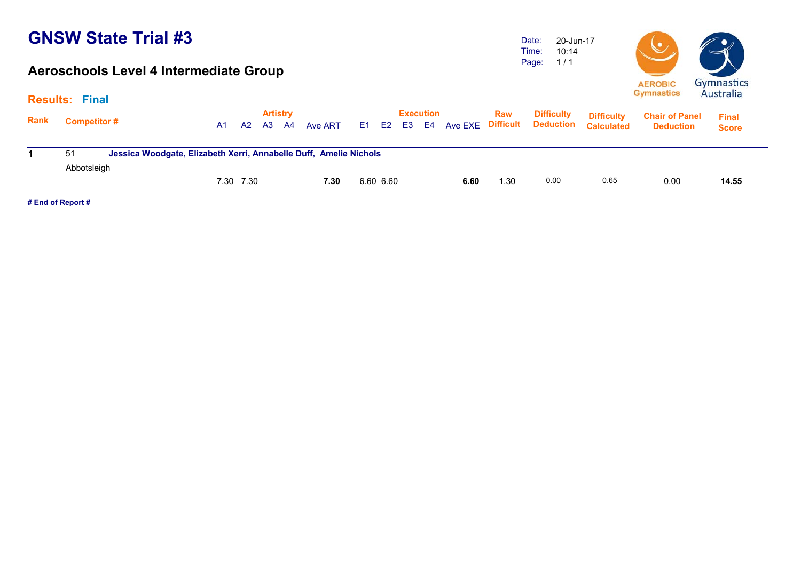#### **Aeroschools Level 4 Intermediate Group**

Date: Time: Page: 20-Jun-17 10:14 1 / 1



|             | <b>Results: Final</b> |                                                                   |                |           |           | <b>Artistry</b> |         |             | <b>Execution</b> |      | Raw  | <b>Difficulty</b>           | <b>Difficulty</b> | <b>Chair of Panel</b> | <b>Final</b> |
|-------------|-----------------------|-------------------------------------------------------------------|----------------|-----------|-----------|-----------------|---------|-------------|------------------|------|------|-----------------------------|-------------------|-----------------------|--------------|
| <b>Rank</b> | <b>Competitor#</b>    |                                                                   | A <sub>1</sub> | A2        | <b>A3</b> | <b>A4</b>       | Ave ART | E1 E2 E3 E4 |                  |      |      | Ave EXE Difficult Deduction | <b>Calculated</b> | <b>Deduction</b>      | <b>Score</b> |
|             | 51                    | Jessica Woodgate, Elizabeth Xerri, Annabelle Duff, Amelie Nichols |                |           |           |                 |         |             |                  |      |      |                             |                   |                       |              |
|             | Abbotsleigh           |                                                                   |                | 7.30 7.30 |           |                 | 7.30    | 6.60 6.60   |                  | 6.60 | 1.30 | 0.00                        | 0.65              | 0.00                  | 14.55        |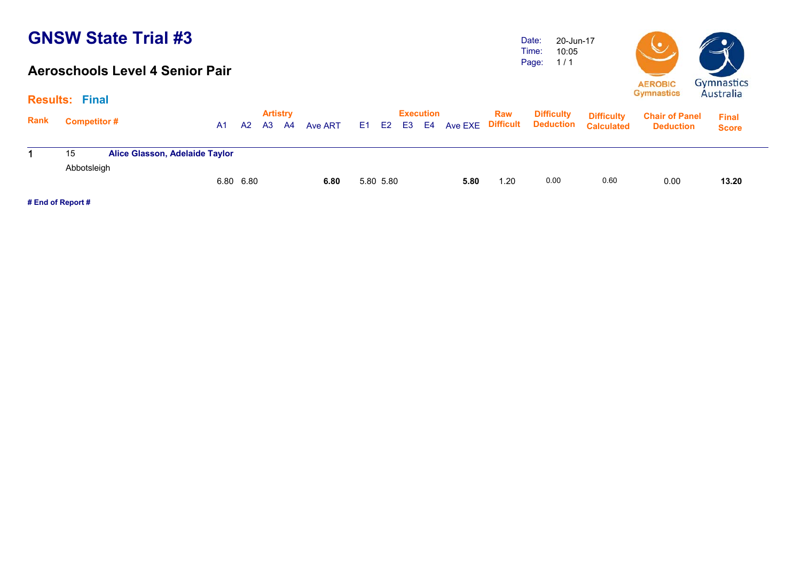#### **Aeroschools Level 4 Senior Pair**

Date: Time: Page: 20-Jun-17 10:05 1 / 1



| <b>Results:</b> | Final              |                                       |                |    |    |                       |         |           |                                 |      |            |                                                  |                                        |                                           |                              |
|-----------------|--------------------|---------------------------------------|----------------|----|----|-----------------------|---------|-----------|---------------------------------|------|------------|--------------------------------------------------|----------------------------------------|-------------------------------------------|------------------------------|
| <b>Rank</b>     | <b>Competitor#</b> |                                       | A <sub>1</sub> | A2 | A3 | <b>Artistry</b><br>A4 | Ave ART |           | <b>Execution</b><br>E1 E2 E3 E4 |      | <b>Raw</b> | <b>Difficulty</b><br>Ave EXE Difficult Deduction | <b>Difficulty</b><br><b>Calculated</b> | <b>Chair of Panel</b><br><b>Deduction</b> | <b>Final</b><br><b>Score</b> |
|                 | 15                 | <b>Alice Glasson, Adelaide Taylor</b> |                |    |    |                       |         |           |                                 |      |            |                                                  |                                        |                                           |                              |
|                 | Abbotsleigh        |                                       | 6.80 6.80      |    |    |                       | 6.80    | 5.80 5.80 |                                 | 5.80 | 1.20       | 0.00                                             | 0.60                                   | 0.00                                      | 13.20                        |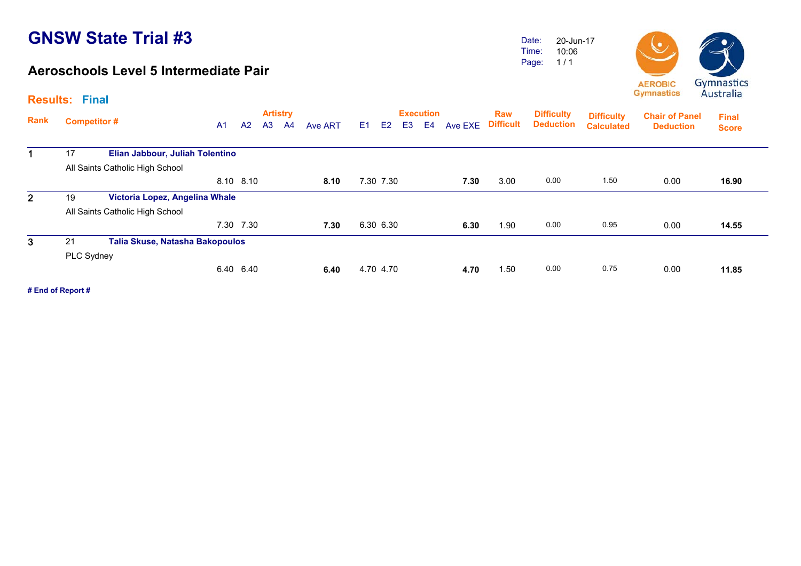#### **Aeroschools Level 5 Intermediate Pair**

Date: Time: Page: 20-Jun-1710:06 1 / 1



| <b>Rank</b>  | <b>Competitor#</b> |                                 | A <sub>1</sub> | A <sup>2</sup> | A <sub>3</sub> | <b>Artistry</b><br>A <sup>4</sup> | Ave ART | E1 | E <sub>2</sub> | E <sub>3</sub> | <b>Execution</b><br>E <sub>4</sub> | Ave EXE | <b>Raw</b><br><b>Difficult</b> | <b>Difficulty</b><br><b>Deduction</b> | <b>Difficulty</b><br><b>Calculated</b> | <b>Chair of Panel</b><br><b>Deduction</b> | <b>Final</b><br><b>Score</b> |  |
|--------------|--------------------|---------------------------------|----------------|----------------|----------------|-----------------------------------|---------|----|----------------|----------------|------------------------------------|---------|--------------------------------|---------------------------------------|----------------------------------------|-------------------------------------------|------------------------------|--|
|              | 17                 | Elian Jabbour, Juliah Tolentino |                |                |                |                                   |         |    |                |                |                                    |         |                                |                                       |                                        |                                           |                              |  |
|              |                    | All Saints Catholic High School |                |                |                |                                   |         |    |                |                |                                    |         |                                |                                       |                                        |                                           |                              |  |
|              |                    |                                 |                | 8.10 8.10      |                |                                   | 8.10    |    | 7.30 7.30      |                |                                    | 7.30    | 3.00                           | 0.00                                  | 1.50                                   | 0.00                                      | 16.90                        |  |
| $\mathbf{2}$ | 19                 | Victoria Lopez, Angelina Whale  |                |                |                |                                   |         |    |                |                |                                    |         |                                |                                       |                                        |                                           |                              |  |
|              |                    | All Saints Catholic High School |                |                |                |                                   |         |    |                |                |                                    |         |                                |                                       |                                        |                                           |                              |  |
|              |                    |                                 |                | 7.30 7.30      |                |                                   | 7.30    |    | 6.30 6.30      |                |                                    | 6.30    | 1.90                           | 0.00                                  | 0.95                                   | 0.00                                      | 14.55                        |  |
| 3            | 21                 | Talia Skuse, Natasha Bakopoulos |                |                |                |                                   |         |    |                |                |                                    |         |                                |                                       |                                        |                                           |                              |  |
|              | PLC Sydney         |                                 |                |                |                |                                   |         |    |                |                |                                    |         |                                |                                       |                                        |                                           |                              |  |
|              |                    |                                 |                | 6.40 6.40      |                |                                   | 6.40    |    | 4.70 4.70      |                |                                    | 4.70    | 1.50                           | 0.00                                  | 0.75                                   | 0.00                                      | 11.85                        |  |
|              |                    |                                 |                |                |                |                                   |         |    |                |                |                                    |         |                                |                                       |                                        |                                           |                              |  |

**# End of Report #**

**Results: Final**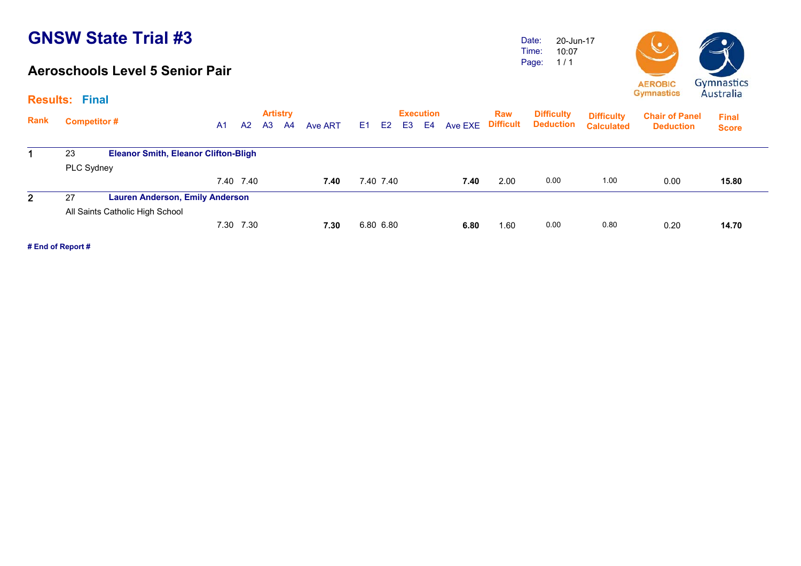#### **Aeroschools Level 5 Senior Pair**

Date: Time: Page: 20-Jun-17 10:07 1 / 1



|             | <b>Results: Final</b> |                                             |    |           |    |                       |                |           |           |    |                        |         |                         |                                       |                                        |                                           |                              |
|-------------|-----------------------|---------------------------------------------|----|-----------|----|-----------------------|----------------|-----------|-----------|----|------------------------|---------|-------------------------|---------------------------------------|----------------------------------------|-------------------------------------------|------------------------------|
| <b>Rank</b> | <b>Competitor#</b>    |                                             | A1 | A2        | A3 | <b>Artistry</b><br>A4 | <b>Ave ART</b> | E1 E2     |           | E3 | <b>Execution</b><br>E4 | Ave EXE | Raw<br><b>Difficult</b> | <b>Difficulty</b><br><b>Deduction</b> | <b>Difficulty</b><br><b>Calculated</b> | <b>Chair of Panel</b><br><b>Deduction</b> | <b>Final</b><br><b>Score</b> |
|             | 23                    | <b>Eleanor Smith, Eleanor Clifton-Bligh</b> |    |           |    |                       |                |           |           |    |                        |         |                         |                                       |                                        |                                           |                              |
|             | PLC Sydney            |                                             |    |           |    |                       |                |           |           |    |                        |         |                         |                                       |                                        |                                           |                              |
|             |                       |                                             |    | 7.40 7.40 |    |                       | 7.40           |           | 7.40 7.40 |    |                        | 7.40    | 2.00                    | 0.00                                  | 1.00                                   | 0.00                                      | 15.80                        |
| 2           | 27                    | <b>Lauren Anderson, Emily Anderson</b>      |    |           |    |                       |                |           |           |    |                        |         |                         |                                       |                                        |                                           |                              |
|             |                       | All Saints Catholic High School             |    |           |    |                       |                |           |           |    |                        |         |                         |                                       |                                        |                                           |                              |
|             |                       |                                             |    | 7.30 7.30 |    |                       | 7.30           | 6.80 6.80 |           |    |                        | 6.80    | 1.60                    | 0.00                                  | 0.80                                   | 0.20                                      | 14.70                        |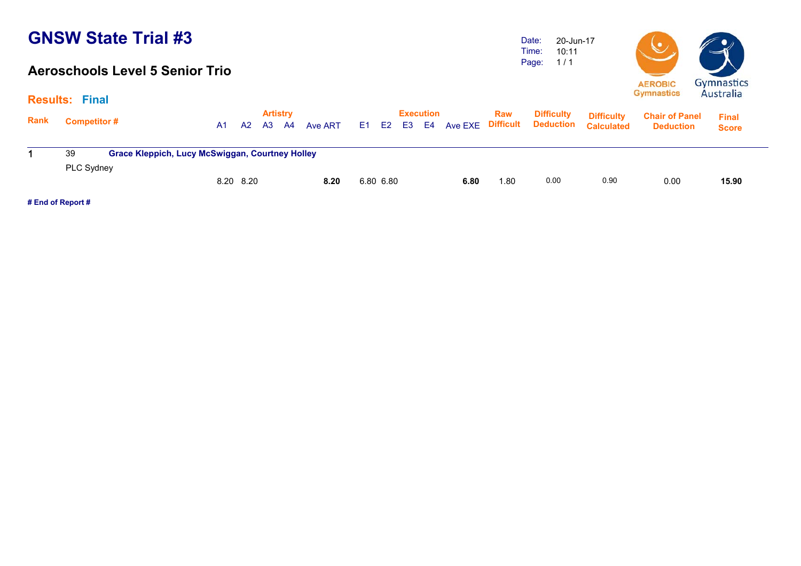#### **Aeroschools Level 5 Senior Trio**

Date: Time: Page: 20-Jun-1710:11 1 / 1



|             | <b>Results: Final</b> |                                                        |    |                       |      |         |           |    |                        |                          |            |                                       |                                        | $-1$                                      | 111111                       |  |
|-------------|-----------------------|--------------------------------------------------------|----|-----------------------|------|---------|-----------|----|------------------------|--------------------------|------------|---------------------------------------|----------------------------------------|-------------------------------------------|------------------------------|--|
| <b>Rank</b> | <b>Competitor#</b>    | A1                                                     | A2 | <b>Artistry</b><br>A3 | - A4 | Ave ART | E1 E2     | E3 | <b>Execution</b><br>E4 | <b>Ave EXE Difficult</b> | <b>Raw</b> | <b>Difficulty</b><br><b>Deduction</b> | <b>Difficulty</b><br><b>Calculated</b> | <b>Chair of Panel</b><br><b>Deduction</b> | <b>Final</b><br><b>Score</b> |  |
|             | 39                    | <b>Grace Kleppich, Lucy McSwiggan, Courtney Holley</b> |    |                       |      |         |           |    |                        |                          |            |                                       |                                        |                                           |                              |  |
|             | <b>PLC Sydney</b>     | 8.20 8.20                                              |    |                       |      | 8.20    | 6.80 6.80 |    |                        | 6.80                     | 1.80       | 0.00                                  | 0.90                                   | 0.00                                      | 15.90                        |  |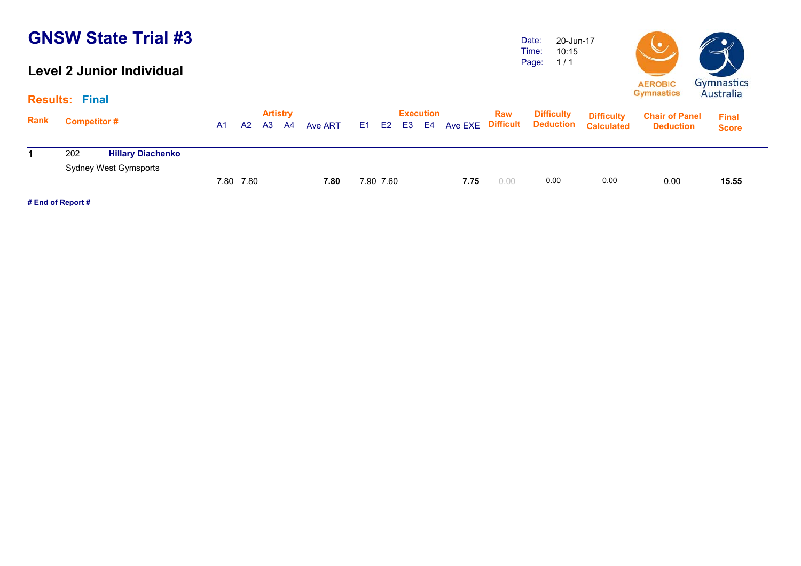#### **Level 2 Junior Individual**

Date: Time: Page: 20-Jun-17 10:15 1 / 1



|      | <b>Results: Final</b>                                    |    |           |                              |    |         |           |    |                        |                   |            |                                |                                        | $-1$                                      | 111111                       |
|------|----------------------------------------------------------|----|-----------|------------------------------|----|---------|-----------|----|------------------------|-------------------|------------|--------------------------------|----------------------------------------|-------------------------------------------|------------------------------|
| Rank | <b>Competitor#</b>                                       | A1 | A2        | <b>Artistry</b><br><b>A3</b> | A4 | Ave ART | E1 E2     | E3 | <b>Execution</b><br>E4 | Ave EXE Difficult | <b>Raw</b> | <b>Difficulty</b><br>Deduction | <b>Difficulty</b><br><b>Calculated</b> | <b>Chair of Panel</b><br><b>Deduction</b> | <b>Final</b><br><b>Score</b> |
|      | <b>Hillary Diachenko</b><br>202<br>Sydney West Gymsports |    |           |                              |    |         |           |    |                        |                   |            |                                |                                        |                                           |                              |
|      |                                                          |    | 7.80 7.80 |                              |    | 7.80    | 7.90 7.60 |    |                        | 7.75              | 0.00       | 0.00                           | 0.00                                   | 0.00                                      | 15.55                        |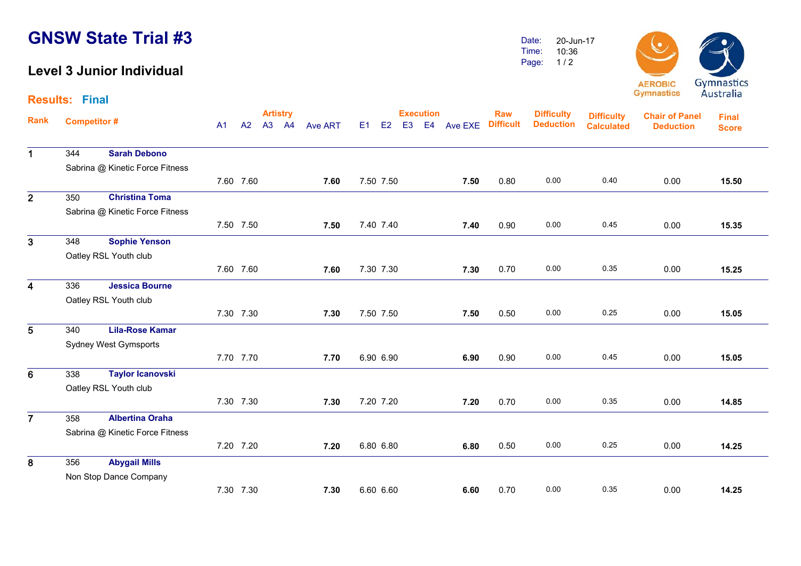#### **Level 3 Junior Individual**

**Results: Final**

Date: Time: Page: 10:36 1 / 2



|                         |                    |                                 |                |           | <b>Artistry</b> |                |    |           |                | <b>Execution</b> |         | <b>Raw</b>       | <b>Difficulty</b> | <b>Difficulty</b> | <b>Chair of Panel</b> | <b>Final</b> |  |
|-------------------------|--------------------|---------------------------------|----------------|-----------|-----------------|----------------|----|-----------|----------------|------------------|---------|------------------|-------------------|-------------------|-----------------------|--------------|--|
| Rank                    | <b>Competitor#</b> |                                 | A <sub>1</sub> | A2        | A3 A4           | <b>Ave ART</b> | E1 | E2        | E <sub>3</sub> | E <sub>4</sub>   | Ave EXE | <b>Difficult</b> | <b>Deduction</b>  | <b>Calculated</b> | <b>Deduction</b>      | <b>Score</b> |  |
| $\mathbf 1$             | 344                | <b>Sarah Debono</b>             |                |           |                 |                |    |           |                |                  |         |                  |                   |                   |                       |              |  |
|                         |                    | Sabrina @ Kinetic Force Fitness |                |           |                 |                |    |           |                |                  |         |                  |                   |                   |                       |              |  |
|                         |                    |                                 |                | 7.60 7.60 |                 | 7.60           |    | 7.50 7.50 |                |                  | 7.50    | 0.80             | 0.00              | 0.40              | 0.00                  | 15.50        |  |
| $\overline{2}$          | 350                | <b>Christina Toma</b>           |                |           |                 |                |    |           |                |                  |         |                  |                   |                   |                       |              |  |
|                         |                    | Sabrina @ Kinetic Force Fitness |                |           |                 |                |    |           |                |                  |         |                  |                   |                   |                       |              |  |
|                         |                    |                                 |                | 7.50 7.50 |                 | 7.50           |    | 7.40 7.40 |                |                  | 7.40    | 0.90             | 0.00              | 0.45              | 0.00                  | 15.35        |  |
| 3                       | 348                | <b>Sophie Yenson</b>            |                |           |                 |                |    |           |                |                  |         |                  |                   |                   |                       |              |  |
|                         |                    | Oatley RSL Youth club           |                |           |                 |                |    |           |                |                  |         |                  |                   |                   |                       |              |  |
|                         |                    |                                 |                | 7.60 7.60 |                 | 7.60           |    | 7.30 7.30 |                |                  | 7.30    | 0.70             | 0.00              | 0.35              | 0.00                  | 15.25        |  |
| 4                       | 336                | <b>Jessica Bourne</b>           |                |           |                 |                |    |           |                |                  |         |                  |                   |                   |                       |              |  |
|                         |                    | Oatley RSL Youth club           |                |           |                 |                |    |           |                |                  |         |                  |                   |                   |                       |              |  |
|                         |                    |                                 |                | 7.30 7.30 |                 | 7.30           |    | 7.50 7.50 |                |                  | 7.50    | 0.50             | 0.00              | 0.25              | 0.00                  | 15.05        |  |
| 5                       | 340                | <b>Lila-Rose Kamar</b>          |                |           |                 |                |    |           |                |                  |         |                  |                   |                   |                       |              |  |
|                         |                    | <b>Sydney West Gymsports</b>    |                |           |                 |                |    |           |                |                  |         |                  |                   |                   |                       |              |  |
|                         |                    |                                 |                | 7.70 7.70 |                 | 7.70           |    | 6.90 6.90 |                |                  | 6.90    | 0.90             | 0.00              | 0.45              | 0.00                  | 15.05        |  |
| 6                       | 338                | <b>Taylor Icanovski</b>         |                |           |                 |                |    |           |                |                  |         |                  |                   |                   |                       |              |  |
|                         |                    | Oatley RSL Youth club           |                |           |                 |                |    |           |                |                  |         |                  |                   |                   |                       |              |  |
|                         |                    |                                 |                | 7.30 7.30 |                 | 7.30           |    | 7.20 7.20 |                |                  | 7.20    | 0.70             | 0.00              | 0.35              | 0.00                  | 14.85        |  |
| $\overline{\mathbf{7}}$ | 358                | <b>Albertina Oraha</b>          |                |           |                 |                |    |           |                |                  |         |                  |                   |                   |                       |              |  |
|                         |                    | Sabrina @ Kinetic Force Fitness |                |           |                 |                |    |           |                |                  |         |                  |                   |                   |                       |              |  |
|                         |                    |                                 |                | 7.20 7.20 |                 | 7.20           |    | 6.80 6.80 |                |                  | 6.80    | 0.50             | 0.00              | 0.25              | 0.00                  | 14.25        |  |
| 8                       | 356                | <b>Abygail Mills</b>            |                |           |                 |                |    |           |                |                  |         |                  |                   |                   |                       |              |  |
|                         |                    | Non Stop Dance Company          |                |           |                 |                |    |           |                |                  |         |                  |                   |                   |                       |              |  |
|                         |                    |                                 |                | 7.30 7.30 |                 | 7.30           |    | 6.60 6.60 |                |                  | 6.60    | 0.70             | 0.00              | 0.35              | 0.00                  | 14.25        |  |

20-Jun-17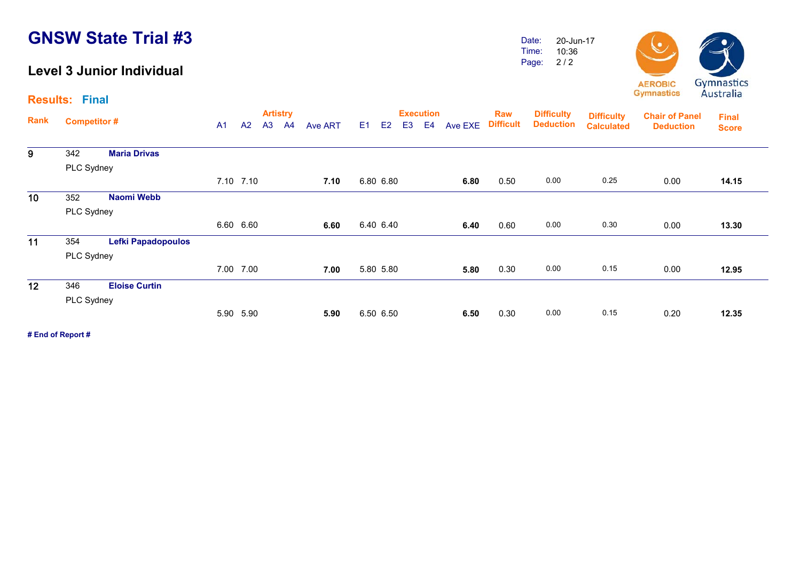#### **Level 3 Junior Individual**

Date: Time: Page: 2 / 2 20-Jun-17 10:36



**Results: Final**

|                 | <b>Competitor#</b> |                           |                |           | <b>Artistry</b> |    |                |                |           |                | <b>Execution</b> |         | <b>Raw</b>       | <b>Difficulty</b> | <b>Difficulty</b> | <b>Chair of Panel</b> | <b>Final</b> |
|-----------------|--------------------|---------------------------|----------------|-----------|-----------------|----|----------------|----------------|-----------|----------------|------------------|---------|------------------|-------------------|-------------------|-----------------------|--------------|
| Rank            |                    |                           | A <sub>1</sub> | A2        | A3              | A4 | <b>Ave ART</b> | E <sub>1</sub> | E2        | E <sub>3</sub> | E4               | Ave EXE | <b>Difficult</b> | <b>Deduction</b>  | <b>Calculated</b> | <b>Deduction</b>      | <b>Score</b> |
| 9               | 342                | <b>Maria Drivas</b>       |                |           |                 |    |                |                |           |                |                  |         |                  |                   |                   |                       |              |
|                 | PLC Sydney         |                           |                |           |                 |    |                |                |           |                |                  |         |                  |                   |                   |                       |              |
|                 |                    |                           |                | 7.10 7.10 |                 |    | 7.10           |                | 6.80 6.80 |                |                  | 6.80    | 0.50             | 0.00              | 0.25              | 0.00                  | 14.15        |
| 10 <sub>1</sub> | 352                | Naomi Webb                |                |           |                 |    |                |                |           |                |                  |         |                  |                   |                   |                       |              |
|                 | PLC Sydney         |                           |                |           |                 |    |                |                |           |                |                  |         |                  |                   |                   |                       |              |
|                 |                    |                           |                | 6.60 6.60 |                 |    | 6.60           |                | 6.40 6.40 |                |                  | 6.40    | 0.60             | 0.00              | 0.30              | 0.00                  | 13.30        |
| 11              | 354                | <b>Lefki Papadopoulos</b> |                |           |                 |    |                |                |           |                |                  |         |                  |                   |                   |                       |              |
|                 | PLC Sydney         |                           |                |           |                 |    |                |                |           |                |                  |         |                  |                   |                   |                       |              |
|                 |                    |                           |                | 7.00 7.00 |                 |    | 7.00           |                | 5.80 5.80 |                |                  | 5.80    | 0.30             | 0.00              | 0.15              | 0.00                  | 12.95        |
| 12              | 346                | <b>Eloise Curtin</b>      |                |           |                 |    |                |                |           |                |                  |         |                  |                   |                   |                       |              |
|                 | PLC Sydney         |                           |                |           |                 |    |                |                |           |                |                  |         |                  |                   |                   |                       |              |
|                 |                    |                           |                | 5.90 5.90 |                 |    | 5.90           |                | 6.50 6.50 |                |                  | 6.50    | 0.30             | 0.00              | 0.15              | 0.20                  | 12.35        |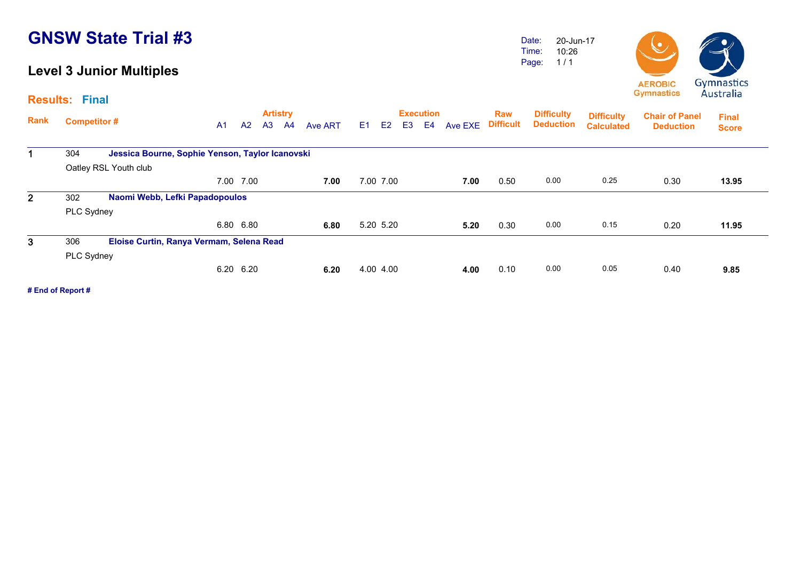#### **Level 3 Junior Multiples**

**Results: Final**

Date: Time: Page: 20-Jun-1710:26 1 / 1



**Artistry Execution Rank**Execution Raw Difficulty <sub>Diffic</sub>ulty<br>A1 A2 A3 A4 Ave ART E1 E2 E3 E4 Ave EXE Difficult Deduction <sub>Calculate</sub> **Chair of Panel Deduction Final Score Difficulty Deduction Difficulty Calculated**1 304 **Jessica Bourne, Sophie Yenson, Taylor Icanovski** Oatley RSL Youth club 7.00 7.00 **7.00** 7.00 7.00 **7.00** 0.50 0.00 0.25 0.30 **13.95**13.95 2 302 **Naomi Webb, Lefki Papadopoulos** PLC Sydney 6.80 6.80 **6.806.80** 5.20 5.20 **5.20** 5.20 0.30 0.00 0.15 0.20 11.95  $\overline{3}$  306 **Eloise Curtin, Ranya Vermam, Selena Read** PLC Sydney 6.20 6.20 **6.20** 4.00 4.00 **4.00** 0.10 0.00 0.05 0.40 **9.85**9.85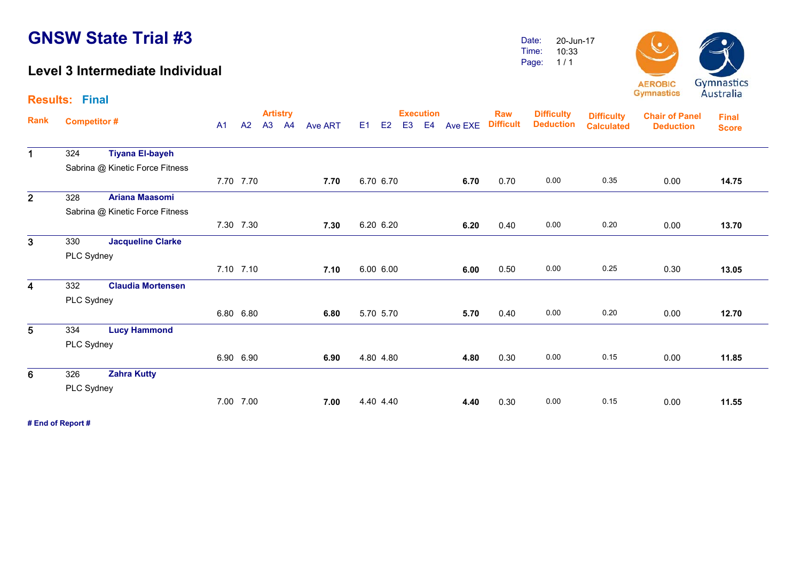**Results: Final**

#### **Level 3 Intermediate Individual**

Date: Time:Page: 20-Jun-1710:331 / 1



**Artistry Execution Rank**Execution Raw Difficulty <sub>Diffic</sub>ulty<br>A1 A2 A3 A4 Ave ART E1 E2 E3 E4 Ave EXE Difficult Deduction <sub>Calculate</sub> **Chair of Panel DeductionDeduction Deduction Final ScoreDifficulty Difficulty Calculated**1 324 **Tiyana El-bayeh** Sabrina @ Kinetic Force Fitness 7.70 7.70 **7.70** 6.70 6.70 **6.70** 0.70 0.00 0.35 0.00 **14.75**14.75 2 328 **Ariana Maasomi**  Sabrina @ Kinetic Force Fitness 7.30 7.30 **7.30** 6.20 6.20 **6.20** 0.40 0.00 0.20 0.00 **13.70**13.70 3 330 **Jacqueline Clarke**  PLC Sydney 7.10 7.10 **7.10** 6.00 6.00 **6.00** 0.50 0.00 0.25 0.30 **13.05**13.05 4 332 **Claudia Mortensen** PLC Sydney 6.80 6.80 **6.80** 5.70 5.70 **5.70** 0.40 0.00 0.20 0.00 **12.70**12.70 5 334 **Lucy Hammond**  PLC Sydney 6.90 6.90 **6.90** 4.80 4.80 **4.80** 0.30 0.00 0.15 0.00 **11.85**11.85 6 326 **Zahra Kutty** PLC Sydney 7.00 7.00 **7.00** 4.40 4.40 **4.40** 0.30 0.00 0.15 0.00 **11.55**11.55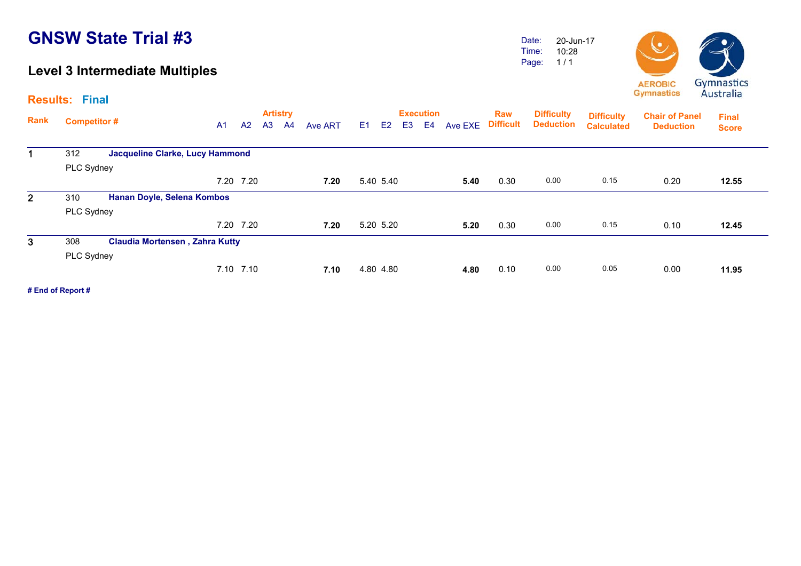### **Level 3 Intermediate Multiples**

Date: Time: Page: 20-Jun-17 10:28 1 / 1



|              | <b>Results: Final</b> |                                        |      |           |                |                                   |                |    |                |                |                                    |         |                                |                                       |                                        |                                           | $114311$ and                 |
|--------------|-----------------------|----------------------------------------|------|-----------|----------------|-----------------------------------|----------------|----|----------------|----------------|------------------------------------|---------|--------------------------------|---------------------------------------|----------------------------------------|-------------------------------------------|------------------------------|
| Rank         | <b>Competitor#</b>    |                                        | A1   | A2        | A <sub>3</sub> | <b>Artistry</b><br>A <sup>4</sup> | <b>Ave ART</b> | E1 | E <sub>2</sub> | E <sub>3</sub> | <b>Execution</b><br>E <sub>4</sub> | Ave EXE | <b>Raw</b><br><b>Difficult</b> | <b>Difficulty</b><br><b>Deduction</b> | <b>Difficulty</b><br><b>Calculated</b> | <b>Chair of Panel</b><br><b>Deduction</b> | <b>Final</b><br><b>Score</b> |
|              | 312                   | <b>Jacqueline Clarke, Lucy Hammond</b> |      |           |                |                                   |                |    |                |                |                                    |         |                                |                                       |                                        |                                           |                              |
|              | PLC Sydney            |                                        |      |           |                |                                   |                |    |                |                |                                    |         |                                |                                       |                                        |                                           |                              |
|              |                       |                                        |      | 7.20 7.20 |                |                                   | 7.20           |    | 5.40 5.40      |                |                                    | 5.40    | 0.30                           | 0.00                                  | 0.15                                   | 0.20                                      | 12.55                        |
| $\mathbf{2}$ | 310                   | Hanan Doyle, Selena Kombos             |      |           |                |                                   |                |    |                |                |                                    |         |                                |                                       |                                        |                                           |                              |
|              | PLC Sydney            |                                        |      |           |                |                                   |                |    |                |                |                                    |         |                                |                                       |                                        |                                           |                              |
|              |                       |                                        |      | 7.20 7.20 |                |                                   | 7.20           |    | 5.20 5.20      |                |                                    | 5.20    | 0.30                           | 0.00                                  | 0.15                                   | 0.10                                      | 12.45                        |
| 3            | 308                   | <b>Claudia Mortensen, Zahra Kutty</b>  |      |           |                |                                   |                |    |                |                |                                    |         |                                |                                       |                                        |                                           |                              |
|              | PLC Sydney            |                                        |      |           |                |                                   |                |    |                |                |                                    |         |                                |                                       |                                        |                                           |                              |
|              |                       |                                        | 7.10 | 7.10      |                |                                   | 7.10           |    | 4.80 4.80      |                |                                    | 4.80    | 0.10                           | 0.00                                  | 0.05                                   | 0.00                                      | 11.95                        |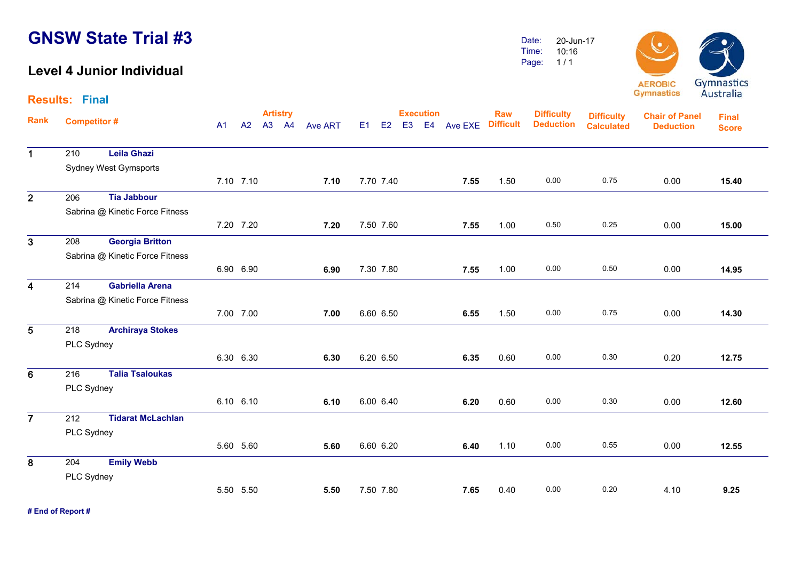#### **Level 4 Junior Individual**

 210 **Leila Ghazi** Sydney West Gymsports

206 **Tia Jabbour**

Sabrina @ Kinetic Force Fitness

 208 **Georgia Britton** Sabrina @ Kinetic Force Fitness

**Results: Final**

1

2

3

4

Date: Time: Page: 20-Jun-1710:16 1 / 1



**Artistry Execution Rank**Execution Raw Difficulty <sub>Diffic</sub>ulty<br>A1 A2 A3 A4 Ave ART E1 E2 E3 E4 Ave EXE Difficult Deduction <sub>Calculate</sub> **Chair of Panel Deduction Final Score Difficulty Deduction Difficulty Calculated**7.10 7.10 **7.10** 7.70 7.40 **7.55** 1.50 0.00 0.75 0.00 **15.40**15.40 7.20 7.20 **7.20** 7.50 7.60 **7.55** 1.00 0.50 0.25 0.00 **15.00**15.00 6.90 6.90 **6.906.90** 7.30 7.80 **7.55** 1.00 0.00 0.50 0.00 14.95

| $\overline{\mathbf{4}}$ | 214        | <b>Gabriella Arena</b>          |           |           |      |           |      |      |      |      |      |       |
|-------------------------|------------|---------------------------------|-----------|-----------|------|-----------|------|------|------|------|------|-------|
|                         |            | Sabrina @ Kinetic Force Fitness |           |           |      |           |      |      |      |      |      |       |
|                         |            |                                 |           | 7.00 7.00 | 7.00 | 6.60 6.50 | 6.55 | 1.50 | 0.00 | 0.75 | 0.00 | 14.30 |
| $5\phantom{.0}$         | 218        | <b>Archiraya Stokes</b>         |           |           |      |           |      |      |      |      |      |       |
|                         | PLC Sydney |                                 |           |           |      |           |      |      |      |      |      |       |
|                         |            |                                 | 6.30 6.30 |           | 6.30 | 6.20 6.50 | 6.35 | 0.60 | 0.00 | 0.30 | 0.20 | 12.75 |
| $6\phantom{1}$          | 216        | <b>Talia Tsaloukas</b>          |           |           |      |           |      |      |      |      |      |       |
|                         | PLC Sydney |                                 |           |           |      |           |      |      |      |      |      |       |
|                         |            |                                 | 6.10 6.10 |           | 6.10 | 6.00 6.40 | 6.20 | 0.60 | 0.00 | 0.30 | 0.00 | 12.60 |
| $\overline{7}$          | 212        | <b>Tidarat McLachlan</b>        |           |           |      |           |      |      |      |      |      |       |
|                         | PLC Sydney |                                 |           |           |      |           |      |      |      |      |      |       |
|                         |            |                                 |           | 5.60 5.60 | 5.60 | 6.60 6.20 | 6.40 | 1.10 | 0.00 | 0.55 | 0.00 | 12.55 |
| 8                       | 204        | <b>Emily Webb</b>               |           |           |      |           |      |      |      |      |      |       |
|                         | PLC Sydney |                                 |           |           |      |           |      |      |      |      |      |       |
|                         |            |                                 |           | 5.50 5.50 | 5.50 | 7.50 7.80 | 7.65 | 0.40 | 0.00 | 0.20 | 4.10 | 9.25  |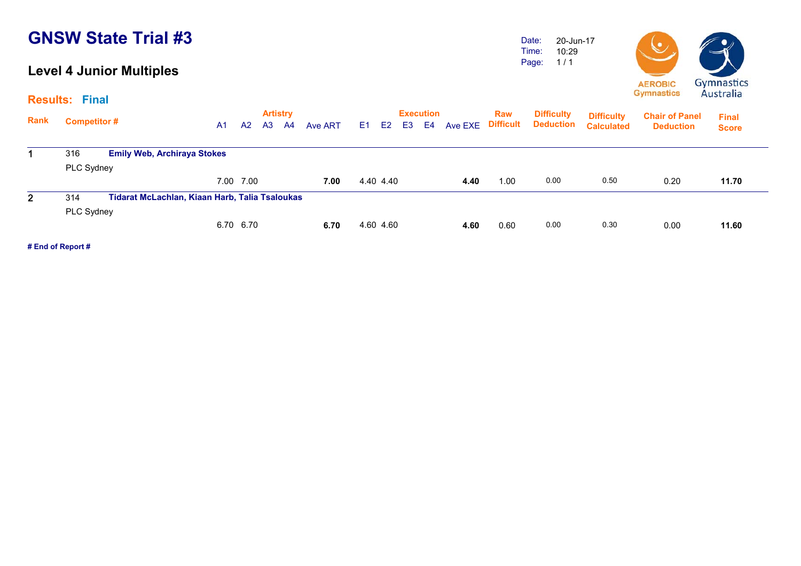#### **Level 4 Junior Multiples**

Date: Time: Page: 20-Jun-17 10:29 1 / 1



|     | A <sub>1</sub>                                                          | A <sub>2</sub>                     | A <sub>3</sub> | A4                     | Ave ART         | E <sub>1</sub>                                 | E <sub>2</sub> | E <sub>3</sub> | E4                     |      | Raw<br><b>Difficult</b> | <b>Difficulty</b><br><b>Deduction</b> | <b>Difficulty</b><br><b>Calculated</b> | <b>Chair of Panel</b><br><b>Deduction</b> | <b>Final</b><br><b>Score</b> |
|-----|-------------------------------------------------------------------------|------------------------------------|----------------|------------------------|-----------------|------------------------------------------------|----------------|----------------|------------------------|------|-------------------------|---------------------------------------|----------------------------------------|-------------------------------------------|------------------------------|
| 316 |                                                                         |                                    |                |                        |                 |                                                |                |                |                        |      |                         |                                       |                                        |                                           |                              |
|     |                                                                         |                                    |                |                        |                 |                                                |                |                |                        |      |                         |                                       |                                        |                                           |                              |
|     |                                                                         |                                    |                |                        | 7.00            |                                                |                |                |                        | 4.40 | 1.00                    | 0.00                                  | 0.50                                   | 0.20                                      | 11.70                        |
| 314 |                                                                         |                                    |                |                        |                 |                                                |                |                |                        |      |                         |                                       |                                        |                                           |                              |
|     |                                                                         |                                    |                |                        |                 |                                                |                |                |                        |      |                         |                                       |                                        |                                           |                              |
|     |                                                                         |                                    |                |                        | 6.70            |                                                |                |                |                        | 4.60 | 0.60                    | 0.00                                  | 0.30                                   | 0.00                                      | 11.60                        |
|     | <b>Results: Final</b><br><b>Competitor#</b><br>PLC Sydney<br>PLC Sydney | <b>Emily Web, Archiraya Stokes</b> |                | 7.00 7.00<br>6.70 6.70 | <b>Artistry</b> | Tidarat McLachlan, Kiaan Harb, Talia Tsaloukas |                |                | 4.40 4.40<br>4.60 4.60 |      | <b>Execution</b>        | Ave EXE                               |                                        |                                           |                              |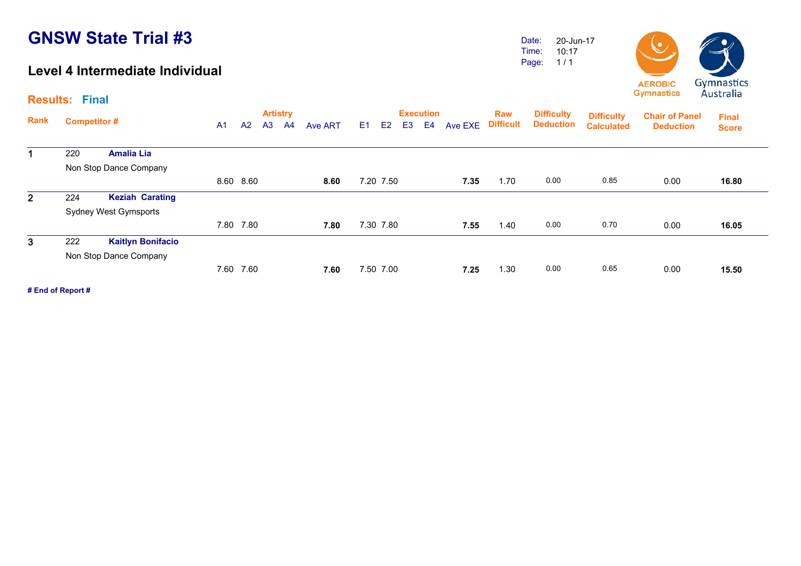#### **Level 4 Intermediate Individual**

Date: Time: Page: 20-Jun-17 10:17 1 / 1



**Results: Final**

| Rank           | <b>Competitor#</b> |                              | A <sub>1</sub> | A <sup>2</sup> | A <sub>3</sub> | <b>Artistry</b><br>A <sup>4</sup> | Ave ART | E1 | E2        | E <sub>3</sub> | <b>Execution</b><br>E <sub>4</sub> | Ave EXE | <b>Raw</b><br><b>Difficult</b> | <b>Difficulty</b><br><b>Deduction</b> | <b>Difficulty</b><br><b>Calculated</b> | <b>Chair of Panel</b><br><b>Deduction</b> | <b>Final</b><br><b>Score</b> |
|----------------|--------------------|------------------------------|----------------|----------------|----------------|-----------------------------------|---------|----|-----------|----------------|------------------------------------|---------|--------------------------------|---------------------------------------|----------------------------------------|-------------------------------------------|------------------------------|
| $\mathbf 1$    | 220                | <b>Amalia Lia</b>            |                |                |                |                                   |         |    |           |                |                                    |         |                                |                                       |                                        |                                           |                              |
|                |                    | Non Stop Dance Company       |                |                |                |                                   |         |    |           |                |                                    |         |                                |                                       |                                        |                                           |                              |
|                |                    |                              |                | 8.60 8.60      |                |                                   | 8.60    |    | 7.20 7.50 |                |                                    | 7.35    | 1.70                           | 0.00                                  | 0.85                                   | 0.00                                      | 16.80                        |
| 2 <sup>1</sup> | 224                | <b>Keziah Carating</b>       |                |                |                |                                   |         |    |           |                |                                    |         |                                |                                       |                                        |                                           |                              |
|                |                    | <b>Sydney West Gymsports</b> |                |                |                |                                   |         |    |           |                |                                    |         |                                |                                       |                                        |                                           |                              |
|                |                    |                              | 7.80           | 7.80           |                |                                   | 7.80    |    | 7.30 7.80 |                |                                    | 7.55    | 1.40                           | 0.00                                  | 0.70                                   | 0.00                                      | 16.05                        |
| 3 <sup>1</sup> | 222                | <b>Kaitlyn Bonifacio</b>     |                |                |                |                                   |         |    |           |                |                                    |         |                                |                                       |                                        |                                           |                              |
|                |                    | Non Stop Dance Company       |                |                |                |                                   |         |    |           |                |                                    |         |                                |                                       |                                        |                                           |                              |
|                |                    |                              | 7.60           | 7.60           |                |                                   | 7.60    |    | 7.50 7.00 |                |                                    | 7.25    | 1.30                           | 0.00                                  | 0.65                                   | 0.00                                      | 15.50                        |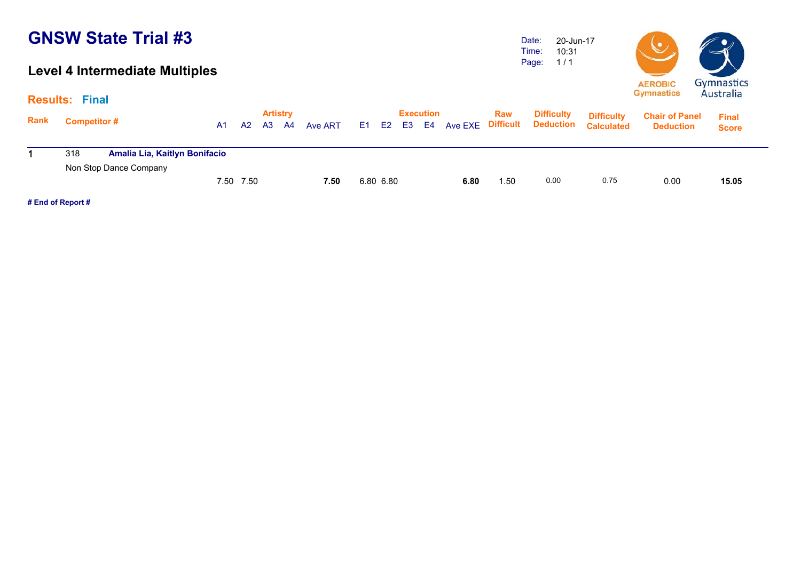### **Level 4 Intermediate Multiples**

Date: Time: Page: 20-Jun-17 10:31 1 / 1



|             | <b>Results: Final</b> |                                                         |           |           |                       |      |         |     |           |    |                        |                |                         |                                       |                                        |                                           |                              |  |
|-------------|-----------------------|---------------------------------------------------------|-----------|-----------|-----------------------|------|---------|-----|-----------|----|------------------------|----------------|-------------------------|---------------------------------------|----------------------------------------|-------------------------------------------|------------------------------|--|
| <b>Rank</b> | <b>Competitor #</b>   |                                                         | <b>A1</b> | A2        | <b>Artistry</b><br>A3 | - A4 | Ave ART | E1. | E2        | E3 | <b>Execution</b><br>E4 | <b>Ave EXE</b> | Raw<br><b>Difficult</b> | <b>Difficulty</b><br><b>Deduction</b> | <b>Difficulty</b><br><b>Calculated</b> | <b>Chair of Panel</b><br><b>Deduction</b> | <b>Final</b><br><b>Score</b> |  |
|             | 318                   | Amalia Lia, Kaitlyn Bonifacio<br>Non Stop Dance Company |           |           |                       |      |         |     |           |    |                        |                |                         |                                       |                                        |                                           |                              |  |
|             |                       |                                                         |           | 7.50 7.50 |                       |      | 7.50    |     | 6.80 6.80 |    |                        | 6.80           | 1.50                    | 0.00                                  | 0.75                                   | 0.00                                      | 15.05                        |  |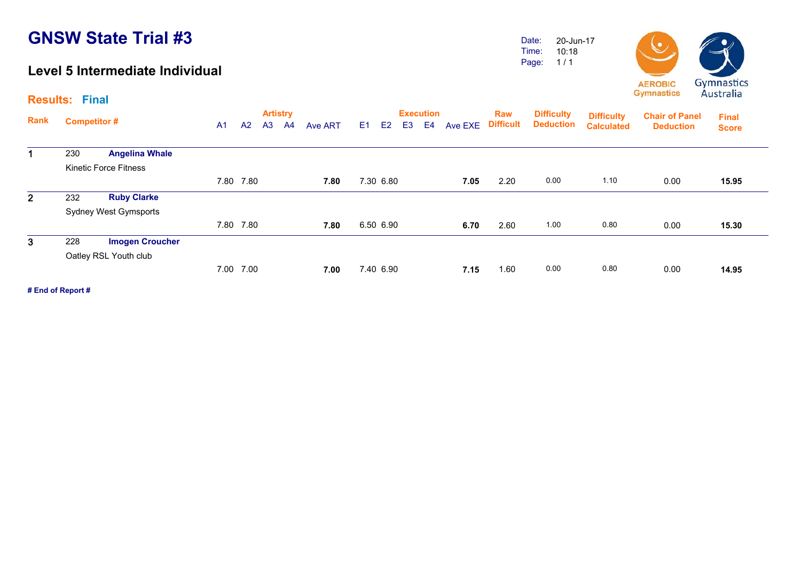#### **Level 5 Intermediate Individual**

Date: Time: Page: 20-Jun-17 10:18 1 / 1



**Results: Final**

| Rank           | <b>Competitor#</b> |                              | A <sub>1</sub> | A <sup>2</sup> | <b>Artistry</b><br>A <sub>3</sub> | A <sup>4</sup> | <b>Ave ART</b> | E1 | E <sub>2</sub> | E <sub>3</sub> | <b>Execution</b><br>E4 | Ave EXE | <b>Raw</b><br><b>Difficult</b> | <b>Difficulty</b><br><b>Deduction</b> | <b>Difficulty</b><br><b>Calculated</b> | <b>Chair of Panel</b><br><b>Deduction</b> | <b>Final</b><br><b>Score</b> |
|----------------|--------------------|------------------------------|----------------|----------------|-----------------------------------|----------------|----------------|----|----------------|----------------|------------------------|---------|--------------------------------|---------------------------------------|----------------------------------------|-------------------------------------------|------------------------------|
| 1              | 230                | <b>Angelina Whale</b>        |                |                |                                   |                |                |    |                |                |                        |         |                                |                                       |                                        |                                           |                              |
|                |                    | <b>Kinetic Force Fitness</b> |                |                |                                   |                |                |    |                |                |                        |         |                                |                                       |                                        |                                           |                              |
|                |                    |                              |                | 7.80 7.80      |                                   |                | 7.80           |    | 7.30 6.80      |                |                        | 7.05    | 2.20                           | 0.00                                  | 1.10                                   | 0.00                                      | 15.95                        |
| $\overline{2}$ | 232                | <b>Ruby Clarke</b>           |                |                |                                   |                |                |    |                |                |                        |         |                                |                                       |                                        |                                           |                              |
|                |                    | <b>Sydney West Gymsports</b> |                |                |                                   |                |                |    |                |                |                        |         |                                |                                       |                                        |                                           |                              |
|                |                    |                              | 7.80           | 7.80           |                                   |                | 7.80           |    | 6.50 6.90      |                |                        | 6.70    | 2.60                           | 1.00                                  | 0.80                                   | 0.00                                      | 15.30                        |
| $\mathbf{3}$   | 228                | <b>Imogen Croucher</b>       |                |                |                                   |                |                |    |                |                |                        |         |                                |                                       |                                        |                                           |                              |
|                |                    | Oatley RSL Youth club        |                |                |                                   |                |                |    |                |                |                        |         |                                |                                       |                                        |                                           |                              |
|                |                    |                              | 7.00           | 7.00           |                                   |                | 7.00           |    | 7.40 6.90      |                |                        | 7.15    | 1.60                           | 0.00                                  | 0.80                                   | 0.00                                      | 14.95                        |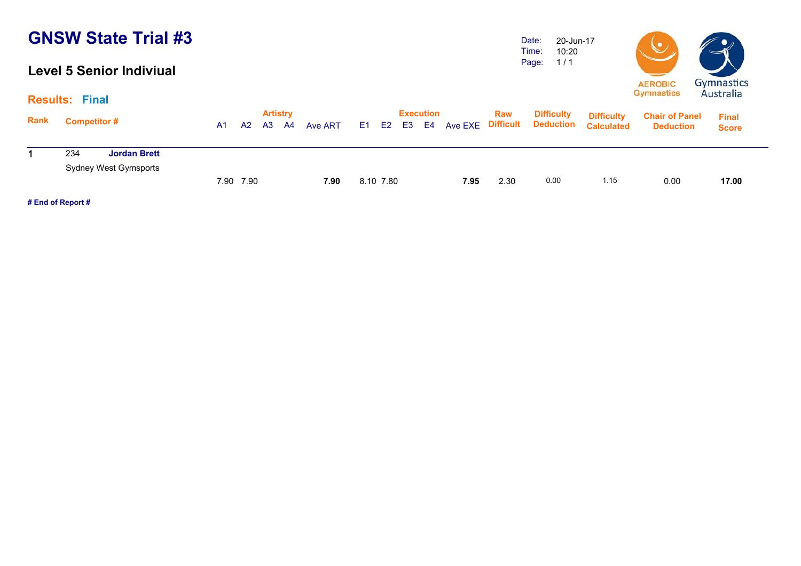#### **Level 5 Senior Indiviual**

Date: Time: Page: 20-Jun-17 10:20 1 / 1



|             |                                                            |           |           |       | <b>Artistry</b> |         |           | <b>Execution</b> |                | Raw  | <b>Difficulty</b>          | <b>Difficulty</b> | <b>Chair of Panel</b> | <b>Final</b> |
|-------------|------------------------------------------------------------|-----------|-----------|-------|-----------------|---------|-----------|------------------|----------------|------|----------------------------|-------------------|-----------------------|--------------|
| <b>Rank</b> | <b>Competitor#</b>                                         | <b>A1</b> |           | A2 A3 | - A4            | Ave ART |           | E1 E2 E3 E4      | <b>Ave EXE</b> |      | <b>Difficult Deduction</b> | <b>Calculated</b> | <b>Deduction</b>      | <b>Score</b> |
|             | <b>Jordan Brett</b><br>234<br><b>Sydney West Gymsports</b> |           |           |       |                 |         |           |                  |                |      |                            |                   |                       |              |
|             |                                                            |           | 7.90 7.90 |       |                 | 7.90    | 8.10 7.80 |                  | 7.95           | 2.30 | 0.00                       | 1.15              | 0.00                  | 17.00        |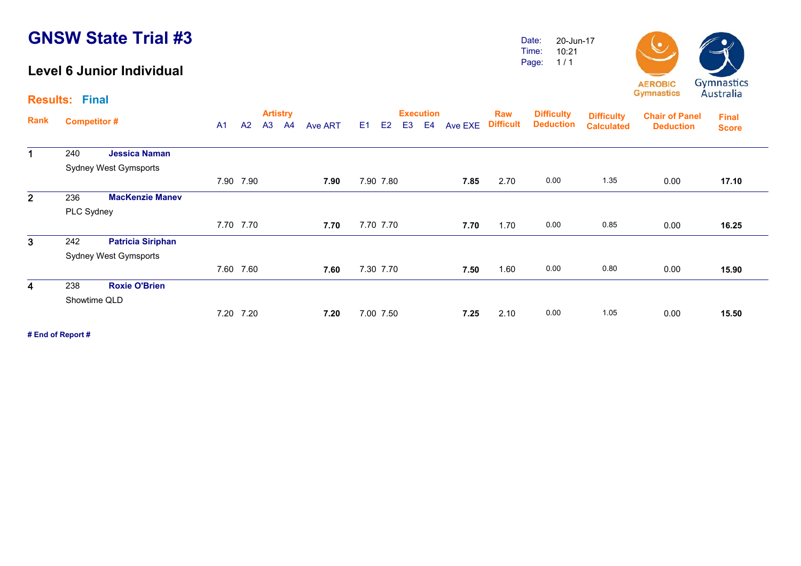#### **Level 6 Junior Individual**

**Results: Final**

Date: Time: Page: 20-Jun-17 10:21 1 / 1



| Rank                    |                    |                              |                |                | <b>Artistry</b> |                |                |                |                |                | <b>Execution</b> |         | Raw              | <b>Difficulty</b> | <b>Difficulty</b> | <b>Chair of Panel</b> | <b>Final</b> |
|-------------------------|--------------------|------------------------------|----------------|----------------|-----------------|----------------|----------------|----------------|----------------|----------------|------------------|---------|------------------|-------------------|-------------------|-----------------------|--------------|
|                         | <b>Competitor#</b> |                              | A <sub>1</sub> | A <sub>2</sub> | A <sub>3</sub>  | A <sup>4</sup> | <b>Ave ART</b> | E <sub>1</sub> | E <sub>2</sub> | E <sub>3</sub> | E4               | Ave EXE | <b>Difficult</b> | <b>Deduction</b>  | <b>Calculated</b> | <b>Deduction</b>      | <b>Score</b> |
| $\mathbf 1$             | 240                | <b>Jessica Naman</b>         |                |                |                 |                |                |                |                |                |                  |         |                  |                   |                   |                       |              |
|                         |                    | <b>Sydney West Gymsports</b> |                |                |                 |                |                |                |                |                |                  |         |                  |                   |                   |                       |              |
|                         |                    |                              |                | 7.90 7.90      |                 |                | 7.90           |                | 7.90 7.80      |                |                  | 7.85    | 2.70             | 0.00              | 1.35              | 0.00                  | 17.10        |
| $\overline{2}$          | 236                | <b>MacKenzie Manev</b>       |                |                |                 |                |                |                |                |                |                  |         |                  |                   |                   |                       |              |
|                         | PLC Sydney         |                              |                |                |                 |                |                |                |                |                |                  |         |                  |                   |                   |                       |              |
|                         |                    |                              |                | 7.70 7.70      |                 |                | 7.70           |                | 7.70 7.70      |                |                  | 7.70    | 1.70             | 0.00              | 0.85              | 0.00                  | 16.25        |
| $\mathbf{3}$            | 242                | <b>Patricia Siriphan</b>     |                |                |                 |                |                |                |                |                |                  |         |                  |                   |                   |                       |              |
|                         |                    | <b>Sydney West Gymsports</b> |                |                |                 |                |                |                |                |                |                  |         |                  |                   |                   |                       |              |
|                         |                    |                              |                | 7.60 7.60      |                 |                | 7.60           |                | 7.30 7.70      |                |                  | 7.50    | 1.60             | 0.00              | 0.80              | 0.00                  | 15.90        |
| $\overline{\mathbf{4}}$ | 238                | <b>Roxie O'Brien</b>         |                |                |                 |                |                |                |                |                |                  |         |                  |                   |                   |                       |              |
|                         | Showtime QLD       |                              |                |                |                 |                |                |                |                |                |                  |         |                  |                   |                   |                       |              |
|                         |                    |                              |                | 7.20 7.20      |                 |                | 7.20           |                | 7.00 7.50      |                |                  | 7.25    | 2.10             | 0.00              | 1.05              | 0.00                  | 15.50        |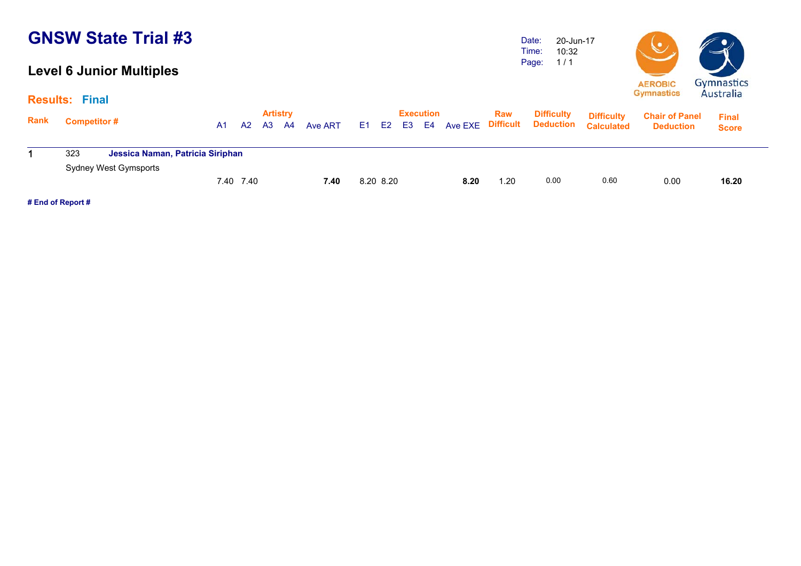### **Level 6 Junior Multiples**

Date: Time: Page: 20-Jun-17 10:32 1 / 1



|      | <b>Results: Final</b> |                                  |    |           |    |                       |         |           |           |      |                                      |                                       |                                        |                                           | Australia                    |
|------|-----------------------|----------------------------------|----|-----------|----|-----------------------|---------|-----------|-----------|------|--------------------------------------|---------------------------------------|----------------------------------------|-------------------------------------------|------------------------------|
| Rank | <b>Competitor #</b>   |                                  | A1 | A2        | A3 | <b>Artistry</b><br>A4 | Ave ART |           | Execution |      | Raw<br>E1 E2 E3 E4 Ave EXE Difficult | <b>Difficulty</b><br><b>Deduction</b> | <b>Difficulty</b><br><b>Calculated</b> | <b>Chair of Panel</b><br><b>Deduction</b> | <b>Final</b><br><b>Score</b> |
|      | 323                   | Jessica Naman, Patricia Siriphan |    |           |    |                       |         |           |           |      |                                      |                                       |                                        |                                           |                              |
|      |                       | Sydney West Gymsports            |    | 7.40 7.40 |    |                       | 7.40    | 8.20 8.20 |           | 8.20 | .20                                  | 0.00                                  | 0.60                                   | 0.00                                      | 16.20                        |
|      |                       |                                  |    |           |    |                       |         |           |           |      |                                      |                                       |                                        |                                           |                              |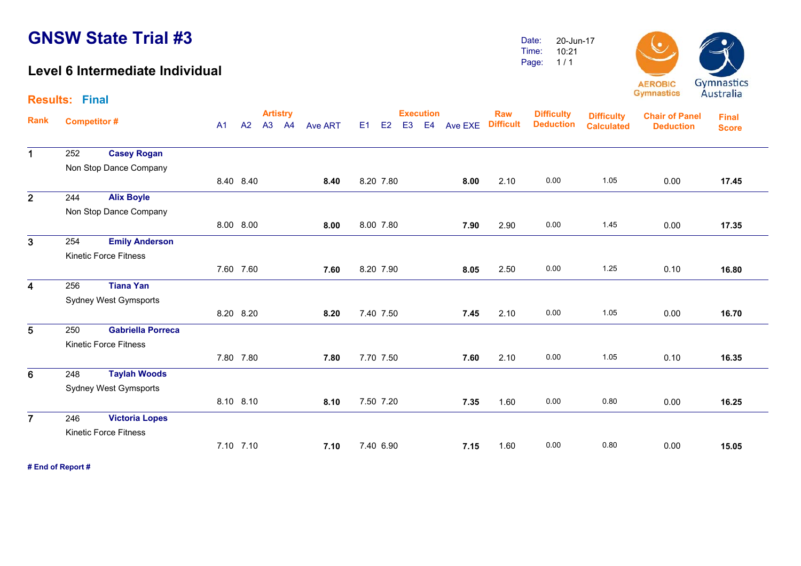**Results: Final**

#### **Level 6 Intermediate Individual**

Date: Time: Page: 20-Jun-1710:21 1 / 1



|                         |                    |                              |                |           | <b>Artistry</b> |                |                |                |                | <b>Execution</b> |         | <b>Raw</b>       | <b>Difficulty</b> | <b>Difficulty</b> | <b>Chair of Panel</b> | <b>Final</b> |  |
|-------------------------|--------------------|------------------------------|----------------|-----------|-----------------|----------------|----------------|----------------|----------------|------------------|---------|------------------|-------------------|-------------------|-----------------------|--------------|--|
| Rank                    | <b>Competitor#</b> |                              | A <sub>1</sub> | A2        | A3 A4           | <b>Ave ART</b> | E <sub>1</sub> | E <sub>2</sub> | E <sub>3</sub> | E <sub>4</sub>   | Ave EXE | <b>Difficult</b> | <b>Deduction</b>  | <b>Calculated</b> | <b>Deduction</b>      | <b>Score</b> |  |
| $\mathbf 1$             | 252                | <b>Casey Rogan</b>           |                |           |                 |                |                |                |                |                  |         |                  |                   |                   |                       |              |  |
|                         |                    | Non Stop Dance Company       |                |           |                 |                |                |                |                |                  |         |                  |                   |                   |                       |              |  |
|                         |                    |                              |                | 8.40 8.40 |                 | 8.40           |                | 8.20 7.80      |                |                  | 8.00    | 2.10             | 0.00              | 1.05              | 0.00                  | 17.45        |  |
| $\overline{2}$          | 244                | <b>Alix Boyle</b>            |                |           |                 |                |                |                |                |                  |         |                  |                   |                   |                       |              |  |
|                         |                    | Non Stop Dance Company       |                |           |                 |                |                |                |                |                  |         |                  |                   |                   |                       |              |  |
|                         |                    |                              |                | 8.00 8.00 |                 | 8.00           |                | 8.00 7.80      |                |                  | 7.90    | 2.90             | 0.00              | 1.45              | 0.00                  | 17.35        |  |
| $\overline{3}$          | 254                | <b>Emily Anderson</b>        |                |           |                 |                |                |                |                |                  |         |                  |                   |                   |                       |              |  |
|                         |                    | <b>Kinetic Force Fitness</b> |                |           |                 |                |                |                |                |                  |         |                  |                   |                   |                       |              |  |
|                         |                    |                              |                | 7.60 7.60 |                 | 7.60           |                | 8.20 7.90      |                |                  | 8.05    | 2.50             | 0.00              | 1.25              | 0.10                  | 16.80        |  |
| $\overline{\mathbf{4}}$ | 256                | <b>Tiana Yan</b>             |                |           |                 |                |                |                |                |                  |         |                  |                   |                   |                       |              |  |
|                         |                    | <b>Sydney West Gymsports</b> |                |           |                 |                |                |                |                |                  |         |                  |                   |                   |                       |              |  |
|                         |                    |                              |                | 8.20 8.20 |                 | 8.20           |                | 7.40 7.50      |                |                  | 7.45    | 2.10             | 0.00              | 1.05              | 0.00                  | 16.70        |  |
| 5                       | 250                | <b>Gabriella Porreca</b>     |                |           |                 |                |                |                |                |                  |         |                  |                   |                   |                       |              |  |
|                         |                    | <b>Kinetic Force Fitness</b> |                |           |                 |                |                |                |                |                  |         |                  |                   |                   |                       |              |  |
|                         |                    |                              |                | 7.80 7.80 |                 | 7.80           |                | 7.70 7.50      |                |                  | 7.60    | 2.10             | 0.00              | 1.05              | 0.10                  | 16.35        |  |
| 6                       | 248                | <b>Taylah Woods</b>          |                |           |                 |                |                |                |                |                  |         |                  |                   |                   |                       |              |  |
|                         |                    | <b>Sydney West Gymsports</b> |                |           |                 |                |                |                |                |                  |         |                  |                   |                   |                       |              |  |
|                         |                    |                              |                | 8.10 8.10 |                 | 8.10           |                | 7.50 7.20      |                |                  | 7.35    | 1.60             | 0.00              | 0.80              | 0.00                  | 16.25        |  |
| $\overline{7}$          | 246                | <b>Victoria Lopes</b>        |                |           |                 |                |                |                |                |                  |         |                  |                   |                   |                       |              |  |
|                         |                    | <b>Kinetic Force Fitness</b> |                |           |                 |                |                |                |                |                  |         |                  |                   |                   |                       |              |  |
|                         |                    |                              |                | 7.10 7.10 |                 | 7.10           |                | 7.40 6.90      |                |                  | 7.15    | 1.60             | 0.00              | 0.80              | 0.00                  | 15.05        |  |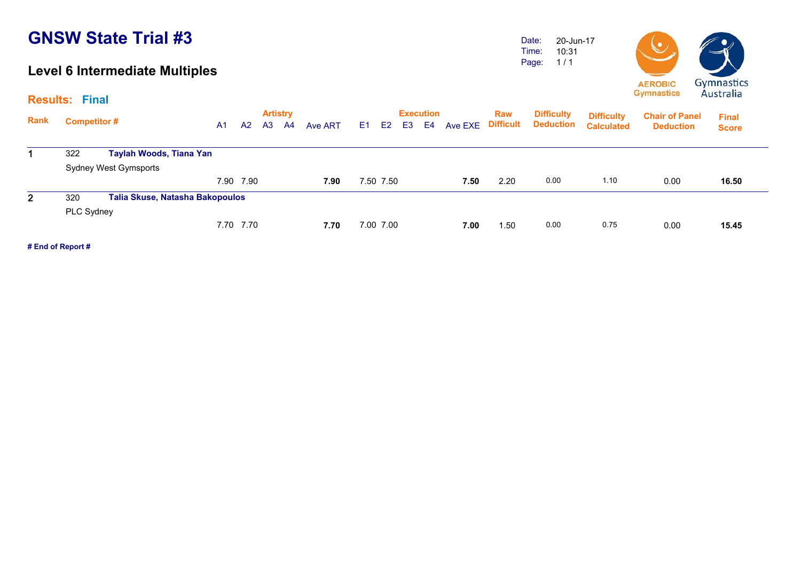#### **Level 6 Intermediate Multiples**

Date: Time: Page: 20-Jun-1710:31 1 / 1



**Artistry Execution Rank**Execution Raw Difficulty <sub>Diffic</sub>ulty<br>A1 A2 A3 A4 Ave ART E1 E2 E3 E4 Ave EXE Difficult Deduction <sub>Calculate</sub> **Chair of Panel DeductionDeduction Deduction Results: Final Final Score Difficulty Difficulty Calculated**1 322 **Taylah Woods, Tiana Yan** Sydney West Gymsports 7.90 7.90 **7.90** 7.50 7.50 **7.50** 2.20 0.00 1.10 0.00 **16.50**16.50 2 320 **Talia Skuse, Natasha Bakopoulos** PLC Sydney 7.70 7.70 **7.70** 7.00 7.00 **7.00** 1.50 0.00 0.75 0.00 **15.45**15.45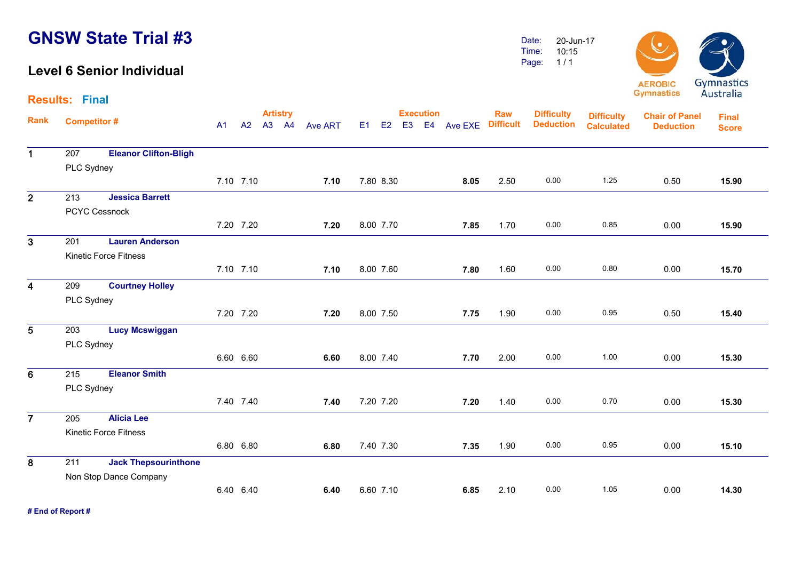#### **Level 6 Senior Individual**

Date: Time: Page: 20-Jun-17 10:15 1 / 1



|                         | <b>Results: Final</b> |                              |                |           |                          |                |    |           |                  |               |                                |                                       |                                        |                                           | 114311                       |
|-------------------------|-----------------------|------------------------------|----------------|-----------|--------------------------|----------------|----|-----------|------------------|---------------|--------------------------------|---------------------------------------|----------------------------------------|-------------------------------------------|------------------------------|
| <b>Rank</b>             | <b>Competitor#</b>    |                              | A <sub>1</sub> | A2        | <b>Artistry</b><br>A3 A4 | <b>Ave ART</b> | E1 | E2        | <b>Execution</b> | E3 E4 Ave EXE | <b>Raw</b><br><b>Difficult</b> | <b>Difficulty</b><br><b>Deduction</b> | <b>Difficulty</b><br><b>Calculated</b> | <b>Chair of Panel</b><br><b>Deduction</b> | <b>Final</b><br><b>Score</b> |
| $\mathbf{1}$            | 207                   | <b>Eleanor Clifton-Bligh</b> |                |           |                          |                |    |           |                  |               |                                |                                       |                                        |                                           |                              |
|                         | PLC Sydney            |                              |                |           |                          |                |    |           |                  |               |                                |                                       |                                        |                                           |                              |
|                         |                       |                              |                | 7.10 7.10 |                          | 7.10           |    | 7.80 8.30 |                  | 8.05          | 2.50                           | 0.00                                  | 1.25                                   | 0.50                                      | 15.90                        |
| $\overline{2}$          | 213                   | <b>Jessica Barrett</b>       |                |           |                          |                |    |           |                  |               |                                |                                       |                                        |                                           |                              |
|                         |                       | <b>PCYC Cessnock</b>         |                |           |                          |                |    |           |                  |               |                                |                                       |                                        |                                           |                              |
|                         |                       |                              |                | 7.20 7.20 |                          | 7.20           |    | 8.00 7.70 |                  | 7.85          | 1.70                           | 0.00                                  | 0.85                                   | 0.00                                      | 15.90                        |
| $\overline{3}$          | 201                   | <b>Lauren Anderson</b>       |                |           |                          |                |    |           |                  |               |                                |                                       |                                        |                                           |                              |
|                         |                       | <b>Kinetic Force Fitness</b> |                |           |                          |                |    |           |                  |               |                                |                                       |                                        |                                           |                              |
|                         |                       |                              |                | 7.10 7.10 |                          | 7.10           |    | 8.00 7.60 |                  | 7.80          | 1.60                           | 0.00                                  | 0.80                                   | 0.00                                      | 15.70                        |
| $\overline{\mathbf{4}}$ | 209                   | <b>Courtney Holley</b>       |                |           |                          |                |    |           |                  |               |                                |                                       |                                        |                                           |                              |
|                         | PLC Sydney            |                              |                |           |                          |                |    |           |                  |               |                                |                                       |                                        |                                           |                              |
|                         |                       |                              |                | 7.20 7.20 |                          | 7.20           |    | 8.00 7.50 |                  | 7.75          | 1.90                           | 0.00                                  | 0.95                                   | 0.50                                      | 15.40                        |
| $5\phantom{1}$          | 203                   | <b>Lucy Mcswiggan</b>        |                |           |                          |                |    |           |                  |               |                                |                                       |                                        |                                           |                              |
|                         | PLC Sydney            |                              |                |           |                          |                |    |           |                  |               |                                |                                       |                                        |                                           |                              |
|                         |                       |                              |                | 6.60 6.60 |                          | 6.60           |    | 8.00 7.40 |                  | 7.70          | 2.00                           | 0.00                                  | 1.00                                   | 0.00                                      | 15.30                        |
| $6\phantom{1}$          | 215                   | <b>Eleanor Smith</b>         |                |           |                          |                |    |           |                  |               |                                |                                       |                                        |                                           |                              |
|                         | PLC Sydney            |                              |                |           |                          |                |    |           |                  |               |                                |                                       |                                        |                                           |                              |
|                         |                       |                              |                | 7.40 7.40 |                          | 7.40           |    | 7.20 7.20 |                  | 7.20          | 1.40                           | 0.00                                  | 0.70                                   | 0.00                                      | 15.30                        |
| $\overline{7}$          | 205                   | <b>Alicia Lee</b>            |                |           |                          |                |    |           |                  |               |                                |                                       |                                        |                                           |                              |
|                         |                       | <b>Kinetic Force Fitness</b> |                |           |                          |                |    |           |                  |               |                                |                                       |                                        |                                           |                              |
|                         |                       |                              |                | 6.80 6.80 |                          | 6.80           |    | 7.40 7.30 |                  | 7.35          | 1.90                           | 0.00                                  | 0.95                                   | 0.00                                      | 15.10                        |
| 8                       | 211                   | <b>Jack Thepsourinthone</b>  |                |           |                          |                |    |           |                  |               |                                |                                       |                                        |                                           |                              |
|                         |                       | Non Stop Dance Company       |                |           |                          |                |    |           |                  |               |                                |                                       |                                        |                                           |                              |
|                         |                       |                              |                | 6.40 6.40 |                          | 6.40           |    | 6.60 7.10 |                  | 6.85          | 2.10                           | 0.00                                  | 1.05                                   | 0.00                                      | 14.30                        |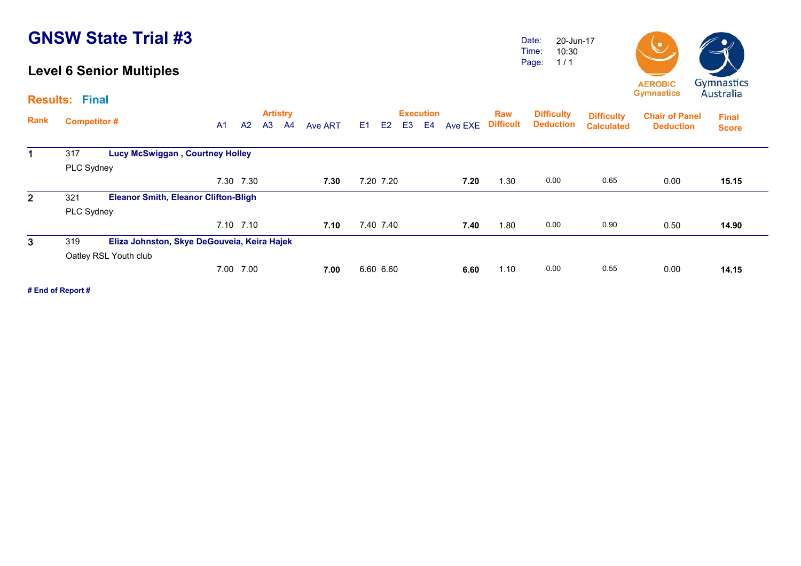#### **Level 6 Senior Multiples**

**Results: Final**

Date: Time: Page: 20-Jun-17 10:30 1 / 1



|                |                    |                                             |                |           |                | <b>Artistry</b> |         |    |           |                | <b>Execution</b> |         | <b>Raw</b>       | <b>Difficulty</b> | <b>Difficulty</b> | <b>Chair of Panel</b> | <b>Final</b> |
|----------------|--------------------|---------------------------------------------|----------------|-----------|----------------|-----------------|---------|----|-----------|----------------|------------------|---------|------------------|-------------------|-------------------|-----------------------|--------------|
| <b>Rank</b>    | <b>Competitor#</b> |                                             | A <sub>1</sub> | A2        | A <sub>3</sub> | A <sup>4</sup>  | Ave ART | E1 | E2        | E <sub>3</sub> | E4               | Ave EXE | <b>Difficult</b> | <b>Deduction</b>  | <b>Calculated</b> | <b>Deduction</b>      | <b>Score</b> |
|                | 317                | <b>Lucy McSwiggan, Courtney Holley</b>      |                |           |                |                 |         |    |           |                |                  |         |                  |                   |                   |                       |              |
|                | PLC Sydney         |                                             |                |           |                |                 |         |    |           |                |                  |         |                  |                   |                   |                       |              |
|                |                    |                                             |                | 7.30 7.30 |                |                 | 7.30    |    | 7.20 7.20 |                |                  | 7.20    | 1.30             | 0.00              | 0.65              | 0.00                  | 15.15        |
| 2 <sup>1</sup> | 321                | <b>Eleanor Smith, Eleanor Clifton-Bligh</b> |                |           |                |                 |         |    |           |                |                  |         |                  |                   |                   |                       |              |
|                | PLC Sydney         |                                             |                |           |                |                 |         |    |           |                |                  |         |                  |                   |                   |                       |              |
|                |                    |                                             |                | 7.10 7.10 |                |                 | 7.10    |    | 7.40 7.40 |                |                  | 7.40    | 1.80             | 0.00              | 0.90              | 0.50                  | 14.90        |
| 3              | 319                | Eliza Johnston, Skye DeGouveia, Keira Hajek |                |           |                |                 |         |    |           |                |                  |         |                  |                   |                   |                       |              |
|                |                    | Oatley RSL Youth club                       |                |           |                |                 |         |    |           |                |                  |         |                  |                   |                   |                       |              |
|                |                    |                                             | 7.00           | 7.00      |                |                 | 7.00    |    | 6.60 6.60 |                |                  | 6.60    | 1.10             | 0.00              | 0.55              | 0.00                  | 14.15        |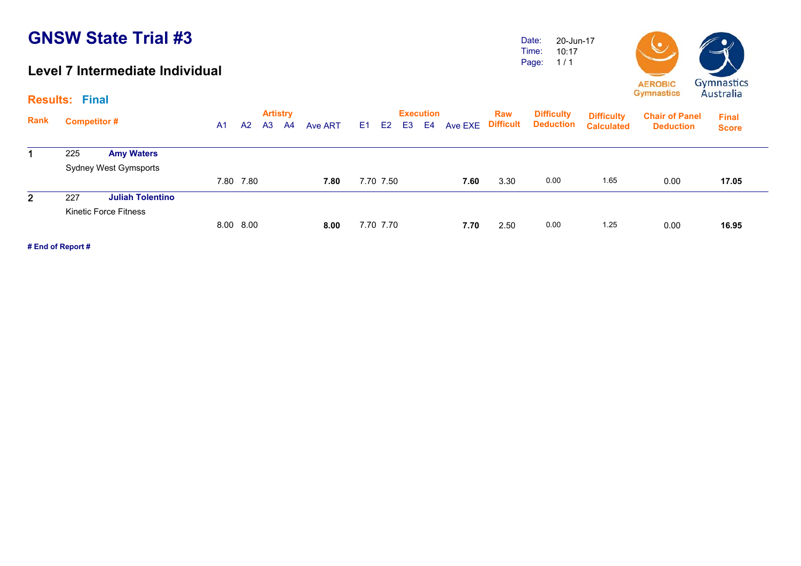#### **Level 7 Intermediate Individual**

Date: Time: Page: 20-Jun-17 10:17 1 / 1



**Results: Final**

| Rank           | <b>Competitor#</b>             | A <sub>1</sub> | A2        | <b>Artistry</b><br>A <sub>3</sub> | A4 | Ave ART | E <sub>1</sub> | E <sub>2</sub> | E3 | <b>Execution</b><br>E4 | Ave EXE | <b>Raw</b><br><b>Difficult</b> | <b>Difficulty</b><br><b>Deduction</b> | <b>Difficulty</b><br><b>Calculated</b> | <b>Chair of Panel</b><br><b>Deduction</b> | <b>Final</b><br><b>Score</b> |
|----------------|--------------------------------|----------------|-----------|-----------------------------------|----|---------|----------------|----------------|----|------------------------|---------|--------------------------------|---------------------------------------|----------------------------------------|-------------------------------------------|------------------------------|
|                | <b>Amy Waters</b><br>225       |                |           |                                   |    |         |                |                |    |                        |         |                                |                                       |                                        |                                           |                              |
|                | <b>Sydney West Gymsports</b>   |                |           |                                   |    |         |                |                |    |                        |         |                                |                                       |                                        |                                           |                              |
|                |                                | 7.80           | 7.80      |                                   |    | 7.80    |                | 7.70 7.50      |    |                        | 7.60    | 3.30                           | 0.00                                  | 1.65                                   | 0.00                                      | 17.05                        |
| 2 <sup>1</sup> | 227<br><b>Juliah Tolentino</b> |                |           |                                   |    |         |                |                |    |                        |         |                                |                                       |                                        |                                           |                              |
|                | Kinetic Force Fitness          |                |           |                                   |    |         |                |                |    |                        |         |                                |                                       |                                        |                                           |                              |
|                |                                |                | 8.00 8.00 |                                   |    | 8.00    |                | 7.70 7.70      |    |                        | 7.70    | 2.50                           | 0.00                                  | 1.25                                   | 0.00                                      | 16.95                        |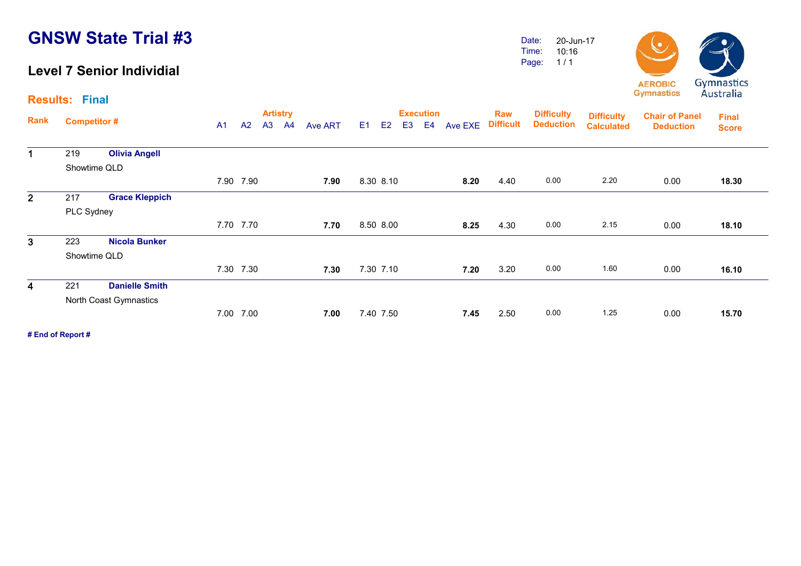#### **Level 7 Senior Individial**

Date: Time: Page: 20-Jun-1710:16 1 / 1

**Difficulty** 

**Chair of Panel DeductionDeduction**

**Difficulty Calculated**



**Final Score**

**Deduction** 

**Artistry Execution Rank**Execution Raw Difficulty <sub>Diffic</sub>ulty<br>A1 A2 A3 A4 Ave ART E1 E2 E3 E4 Ave EXE Difficult Deduction <sub>Calculate</sub> **Results: Final**

| 1            | 219        | <b>Olivia Angell</b>   |           |      |           |      |      |      |      |      |       |
|--------------|------------|------------------------|-----------|------|-----------|------|------|------|------|------|-------|
|              |            | Showtime QLD           |           |      |           |      |      |      |      |      |       |
|              |            |                        | 7.90 7.90 | 7.90 | 8.30 8.10 | 8.20 | 4.40 | 0.00 | 2.20 | 0.00 | 18.30 |
| $\mathbf{2}$ | 217        | <b>Grace Kleppich</b>  |           |      |           |      |      |      |      |      |       |
|              | PLC Sydney |                        |           |      |           |      |      |      |      |      |       |
|              |            |                        | 7.70 7.70 | 7.70 | 8.50 8.00 | 8.25 | 4.30 | 0.00 | 2.15 | 0.00 | 18.10 |
| $\mathbf{3}$ | 223        | <b>Nicola Bunker</b>   |           |      |           |      |      |      |      |      |       |
|              |            | Showtime QLD           |           |      |           |      |      |      |      |      |       |
|              |            |                        | 7.30 7.30 | 7.30 | 7.30 7.10 | 7.20 | 3.20 | 0.00 | 1.60 | 0.00 | 16.10 |
| 4            | 221        | <b>Danielle Smith</b>  |           |      |           |      |      |      |      |      |       |
|              |            | North Coast Gymnastics |           |      |           |      |      |      |      |      |       |
|              |            |                        | 7.00 7.00 | 7.00 | 7.40 7.50 | 7.45 | 2.50 | 0.00 | 1.25 | 0.00 | 15.70 |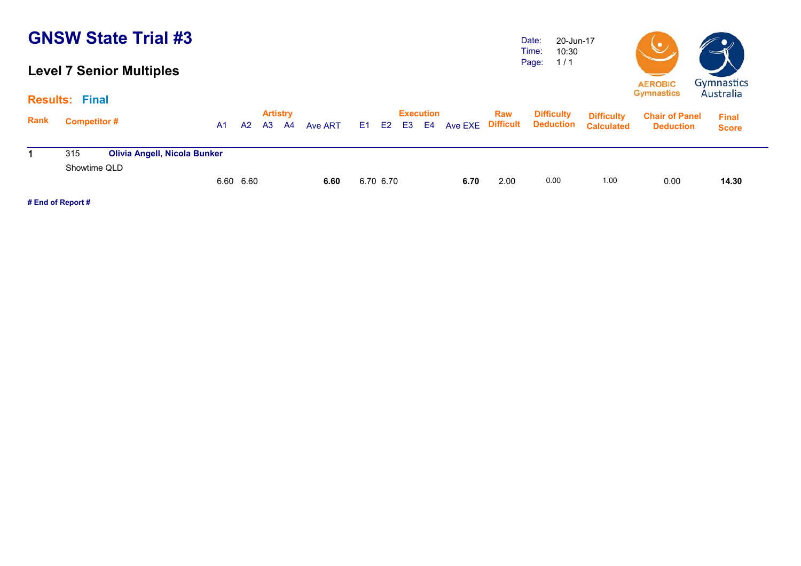### **Level 7 Senior Multiples**

Date: Time: Page: 20-Jun-17 10:30 1 / 1



|      | <b>Results: Final</b> |                                     |           |    |                       |           |         |           |                              |    |      |      |                                                  |                                        |                                           | 1 <b>1 <i>M</i></b> J LI MII M |  |
|------|-----------------------|-------------------------------------|-----------|----|-----------------------|-----------|---------|-----------|------------------------------|----|------|------|--------------------------------------------------|----------------------------------------|-------------------------------------------|--------------------------------|--|
| Rank | <b>Competitor#</b>    |                                     | A1        | A2 | <b>Artistry</b><br>A3 | <b>A4</b> | Ave ART |           | <b>Execution</b><br>E1 E2 E3 | E4 |      | Raw  | <b>Difficulty</b><br>Ave EXE Difficult Deduction | <b>Difficulty</b><br><b>Calculated</b> | <b>Chair of Panel</b><br><b>Deduction</b> | <b>Final</b><br><b>Score</b>   |  |
|      | 315                   | <b>Olivia Angell, Nicola Bunker</b> |           |    |                       |           |         |           |                              |    |      |      |                                                  |                                        |                                           |                                |  |
|      | Showtime QLD          |                                     |           |    |                       |           |         |           |                              |    |      |      |                                                  |                                        |                                           |                                |  |
|      |                       |                                     | 6.60 6.60 |    |                       |           | 6.60    | 6.70 6.70 |                              |    | 6.70 | 2.00 | 0.00                                             | 1.00                                   | 0.00                                      | 14.30                          |  |
|      |                       |                                     |           |    |                       |           |         |           |                              |    |      |      |                                                  |                                        |                                           |                                |  |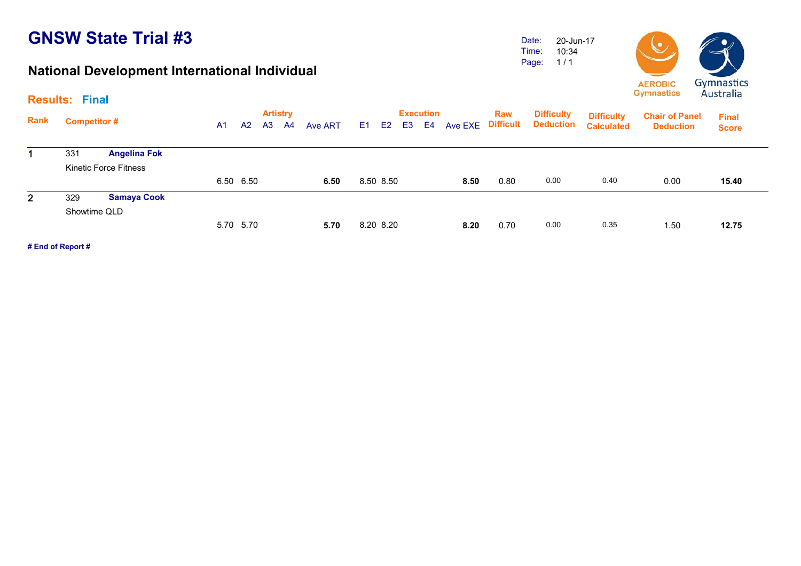#### **National Development International Individual**

Date: Time: Page: 20-Jun-1710:34 1 / 1



**Final Score**

15.40

12.75

**Artistry Execution Rank**Execution Raw Difficulty <sub>Diffic</sub>ulty<br>A1 A2 A3 A4 Ave ART E1 E2 E3 E4 Ave EXE Difficult Deduction <sub>Calculate</sub> **Chair of Panel Deduction Results: Final Difficulty Deduction Difficulty Calculated** 331 **Angelina Fok** Kinetic Force Fitness6.50 6.50 **6.50** 8.50 8.50 **8.50** 0.80 0.00 0.40 0.00 **15.40**2 329 **Samaya Cook** Showtime QLD 8.20 8.20 **8.20** 0.70 0.00 0.35 1.50 **12.75**

5.70 5.70 **5.70**

**# End of Report #**

1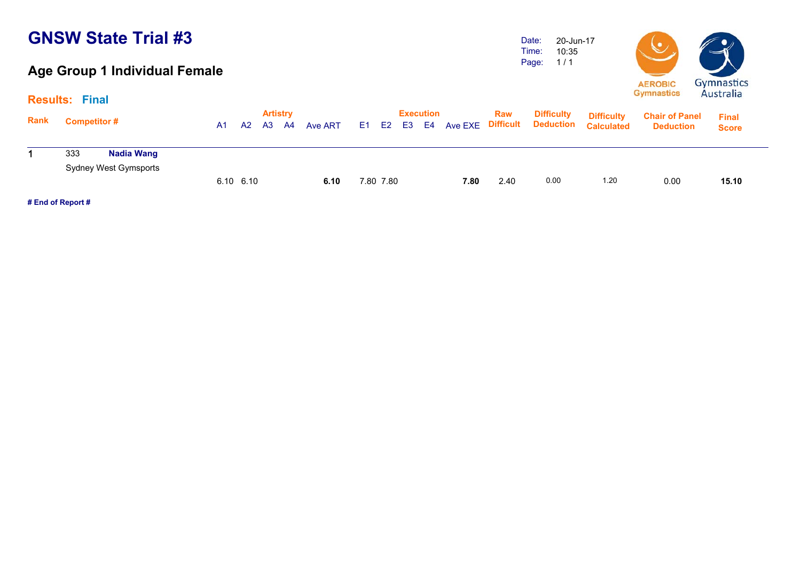### **Age Group 1 Individual Female**

Date: Time: Page: 20-Jun-17 10:35 1 / 1



| <b>Rank</b> | <b>Results: Final</b><br><b>Competitor#</b> | A1        | A <sup>2</sup> | A3 | <b>Artistry</b><br><b>A4</b> | Ave ART | E1 E2     | <b>Execution</b><br>E3 E4 | Ave EXE | Raw  | <b>Difficulty</b><br><b>Difficult Deduction</b> | <b>Difficulty</b><br><b>Calculated</b> | <b>Chair of Panel</b><br><b>Deduction</b> | <b>Final</b> |
|-------------|---------------------------------------------|-----------|----------------|----|------------------------------|---------|-----------|---------------------------|---------|------|-------------------------------------------------|----------------------------------------|-------------------------------------------|--------------|
|             | Nadia Wang<br>333                           |           |                |    |                              |         |           |                           |         |      |                                                 |                                        |                                           | <b>Score</b> |
|             | Sydney West Gymsports                       |           |                |    |                              |         |           |                           |         |      |                                                 |                                        |                                           |              |
|             |                                             | 6.10 6.10 |                |    |                              | 6.10    | 7.80 7.80 |                           | 7.80    | 2.40 | 0.00                                            | 1.20                                   | 0.00                                      | 15.10        |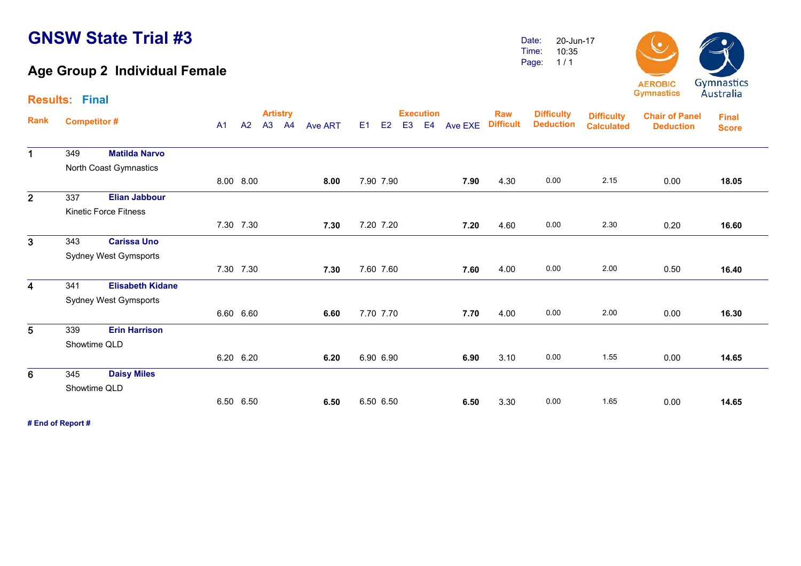### **Age Group 2 Individual Female**

Date: Time: Page: 20-Jun-17 10:35 1 / 1



**Gymnastics** 

|                         | <b>Results: Final</b> |                              |                |           |                       |    |                |                |           |                |                        |         |                                |                                       |                                        |                                           | <i>i doct and</i>            |  |
|-------------------------|-----------------------|------------------------------|----------------|-----------|-----------------------|----|----------------|----------------|-----------|----------------|------------------------|---------|--------------------------------|---------------------------------------|----------------------------------------|-------------------------------------------|------------------------------|--|
| Rank                    | <b>Competitor#</b>    |                              | A <sub>1</sub> | A2        | <b>Artistry</b><br>A3 | A4 | <b>Ave ART</b> | E <sub>1</sub> | E2        | E <sub>3</sub> | <b>Execution</b><br>E4 | Ave EXE | <b>Raw</b><br><b>Difficult</b> | <b>Difficulty</b><br><b>Deduction</b> | <b>Difficulty</b><br><b>Calculated</b> | <b>Chair of Panel</b><br><b>Deduction</b> | <b>Final</b><br><b>Score</b> |  |
| $\mathbf 1$             | 349                   | <b>Matilda Narvo</b>         |                |           |                       |    |                |                |           |                |                        |         |                                |                                       |                                        |                                           |                              |  |
|                         |                       | North Coast Gymnastics       |                |           |                       |    |                |                |           |                |                        |         |                                |                                       |                                        |                                           |                              |  |
|                         |                       |                              |                | 8.00 8.00 |                       |    | 8.00           |                | 7.90 7.90 |                |                        | 7.90    | 4.30                           | 0.00                                  | 2.15                                   | 0.00                                      | 18.05                        |  |
| 2 <sup>1</sup>          | 337                   | <b>Elian Jabbour</b>         |                |           |                       |    |                |                |           |                |                        |         |                                |                                       |                                        |                                           |                              |  |
|                         |                       | <b>Kinetic Force Fitness</b> |                |           |                       |    |                |                |           |                |                        |         |                                |                                       |                                        |                                           |                              |  |
|                         |                       |                              |                | 7.30 7.30 |                       |    | 7.30           |                | 7.20 7.20 |                |                        | 7.20    | 4.60                           | 0.00                                  | 2.30                                   | 0.20                                      | 16.60                        |  |
| 3 <sup>1</sup>          | 343                   | <b>Carissa Uno</b>           |                |           |                       |    |                |                |           |                |                        |         |                                |                                       |                                        |                                           |                              |  |
|                         |                       | Sydney West Gymsports        |                |           |                       |    |                |                |           |                |                        |         |                                |                                       |                                        |                                           |                              |  |
|                         |                       |                              |                | 7.30 7.30 |                       |    | 7.30           |                | 7.60 7.60 |                |                        | 7.60    | 4.00                           | 0.00                                  | 2.00                                   | 0.50                                      | 16.40                        |  |
| $\overline{\mathbf{4}}$ | 341                   | <b>Elisabeth Kidane</b>      |                |           |                       |    |                |                |           |                |                        |         |                                |                                       |                                        |                                           |                              |  |
|                         |                       | Sydney West Gymsports        |                |           |                       |    |                |                |           |                |                        |         |                                |                                       |                                        |                                           |                              |  |
|                         |                       |                              |                | 6.60 6.60 |                       |    | 6.60           |                | 7.70 7.70 |                |                        | 7.70    | 4.00                           | 0.00                                  | 2.00                                   | 0.00                                      | 16.30                        |  |
| $\overline{5}$          | 339                   | <b>Erin Harrison</b>         |                |           |                       |    |                |                |           |                |                        |         |                                |                                       |                                        |                                           |                              |  |
|                         |                       | Showtime QLD                 |                |           |                       |    |                |                |           |                |                        |         |                                |                                       |                                        |                                           |                              |  |
|                         |                       |                              |                | 6.20 6.20 |                       |    | 6.20           |                | 6.90 6.90 |                |                        | 6.90    | 3.10                           | 0.00                                  | 1.55                                   | 0.00                                      | 14.65                        |  |
| 6                       | 345                   | <b>Daisy Miles</b>           |                |           |                       |    |                |                |           |                |                        |         |                                |                                       |                                        |                                           |                              |  |
|                         |                       | Showtime QLD                 |                |           |                       |    |                |                |           |                |                        |         |                                |                                       |                                        |                                           |                              |  |
|                         |                       |                              |                | 6.50 6.50 |                       |    | 6.50           |                | 6.50 6.50 |                |                        | 6.50    | 3.30                           | 0.00                                  | 1.65                                   | 0.00                                      | 14.65                        |  |
|                         |                       |                              |                |           |                       |    |                |                |           |                |                        |         |                                |                                       |                                        |                                           |                              |  |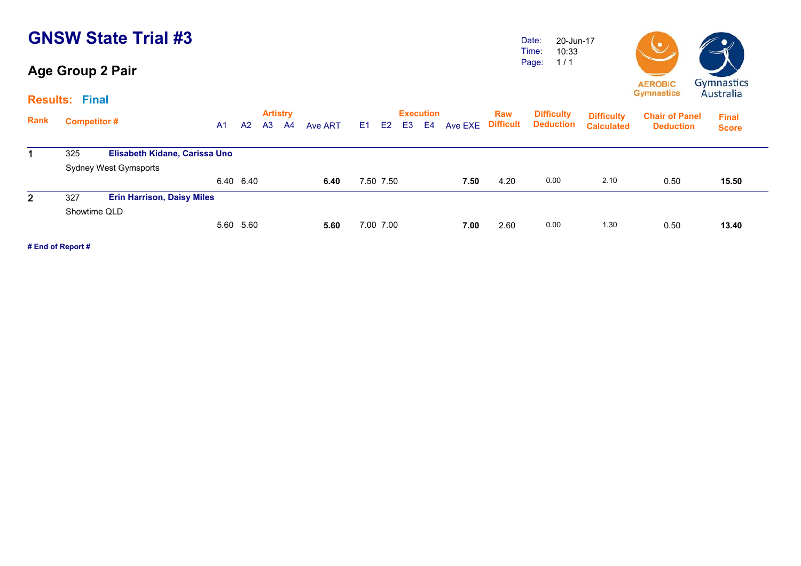### **Age Group 2 Pair**

Date: Time: Page: 20-Jun-17 10:33 1 / 1



**Results: Final**

| Rank         | <b>Competitor #</b> |                                   | A1 | A <sub>2</sub> | <b>Artistry</b><br>A <sub>3</sub> | A4 | Ave ART | E <sub>1</sub> | E <sub>2</sub> | E <sub>3</sub> | <b>Execution</b><br>E4 | Ave EXE | <b>Raw</b><br><b>Difficult</b> | <b>Difficulty</b><br><b>Deduction</b> | <b>Difficulty</b><br><b>Calculated</b> | <b>Chair of Panel</b><br><b>Deduction</b> | <b>Final</b><br><b>Score</b> |
|--------------|---------------------|-----------------------------------|----|----------------|-----------------------------------|----|---------|----------------|----------------|----------------|------------------------|---------|--------------------------------|---------------------------------------|----------------------------------------|-------------------------------------------|------------------------------|
|              | 325                 | Elisabeth Kidane, Carissa Uno     |    |                |                                   |    |         |                |                |                |                        |         |                                |                                       |                                        |                                           |                              |
|              |                     | Sydney West Gymsports             |    |                |                                   |    |         |                |                |                |                        |         |                                |                                       |                                        |                                           |                              |
|              |                     |                                   |    | 6.40 6.40      |                                   |    | 6.40    |                | 7.50 7.50      |                |                        | 7.50    | 4.20                           | 0.00                                  | 2.10                                   | 0.50                                      | 15.50                        |
| $\mathbf{2}$ | 327                 | <b>Erin Harrison, Daisy Miles</b> |    |                |                                   |    |         |                |                |                |                        |         |                                |                                       |                                        |                                           |                              |
|              | Showtime QLD        |                                   |    |                |                                   |    |         |                |                |                |                        |         |                                |                                       |                                        |                                           |                              |
|              |                     |                                   |    | 5.60 5.60      |                                   |    | 5.60    |                | 7.00 7.00      |                |                        | 7.00    | 2.60                           | 0.00                                  | 1.30                                   | 0.50                                      | 13.40                        |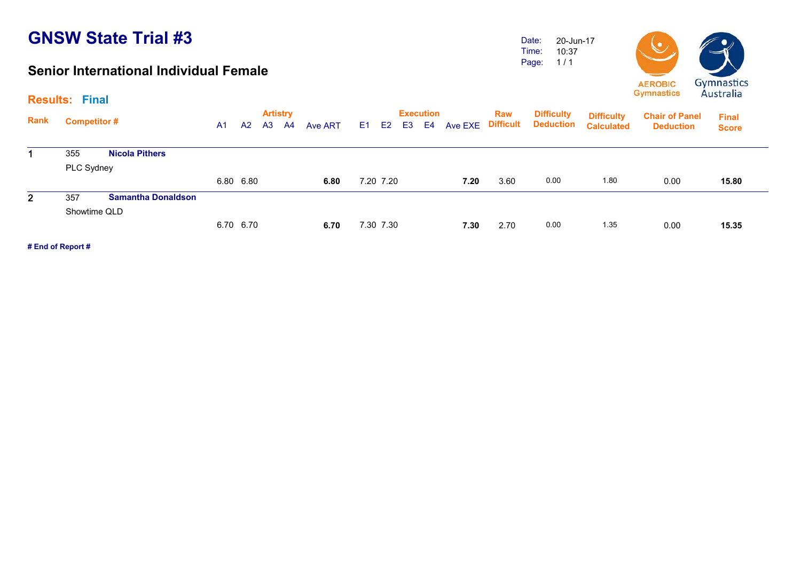#### **Senior International Individual Female**

Date: Time: Page: 20-Jun-17 10:37 1 / 1



|                | <b>Results: Final</b> |                           |    |           |                |                                   |         |           |                |                        |                |                                |                                       |                                        |                                           | 111111                       |
|----------------|-----------------------|---------------------------|----|-----------|----------------|-----------------------------------|---------|-----------|----------------|------------------------|----------------|--------------------------------|---------------------------------------|----------------------------------------|-------------------------------------------|------------------------------|
| Rank           | <b>Competitor#</b>    |                           | A1 | A2        | A <sub>3</sub> | <b>Artistry</b><br>A <sup>4</sup> | Ave ART | E1 E2     | E <sub>3</sub> | <b>Execution</b><br>E4 | <b>Ave EXE</b> | <b>Raw</b><br><b>Difficult</b> | <b>Difficulty</b><br><b>Deduction</b> | <b>Difficulty</b><br><b>Calculated</b> | <b>Chair of Panel</b><br><b>Deduction</b> | <b>Final</b><br><b>Score</b> |
|                | 355                   | <b>Nicola Pithers</b>     |    |           |                |                                   |         |           |                |                        |                |                                |                                       |                                        |                                           |                              |
|                | PLC Sydney            |                           |    |           |                |                                   |         |           |                |                        |                |                                |                                       |                                        |                                           |                              |
|                |                       |                           |    | 6.80 6.80 |                |                                   | 6.80    | 7.20 7.20 |                |                        | 7.20           | 3.60                           | 0.00                                  | 1.80                                   | 0.00                                      | 15.80                        |
| $\mathbf{2}^-$ | 357                   | <b>Samantha Donaldson</b> |    |           |                |                                   |         |           |                |                        |                |                                |                                       |                                        |                                           |                              |
|                | Showtime QLD          |                           |    |           |                |                                   |         |           |                |                        |                |                                |                                       |                                        |                                           |                              |
|                |                       |                           |    | 6.70 6.70 |                |                                   | 6.70    | 7.30 7.30 |                |                        | 7.30           | 2.70                           | 0.00                                  | 1.35                                   | 0.00                                      | 15.35                        |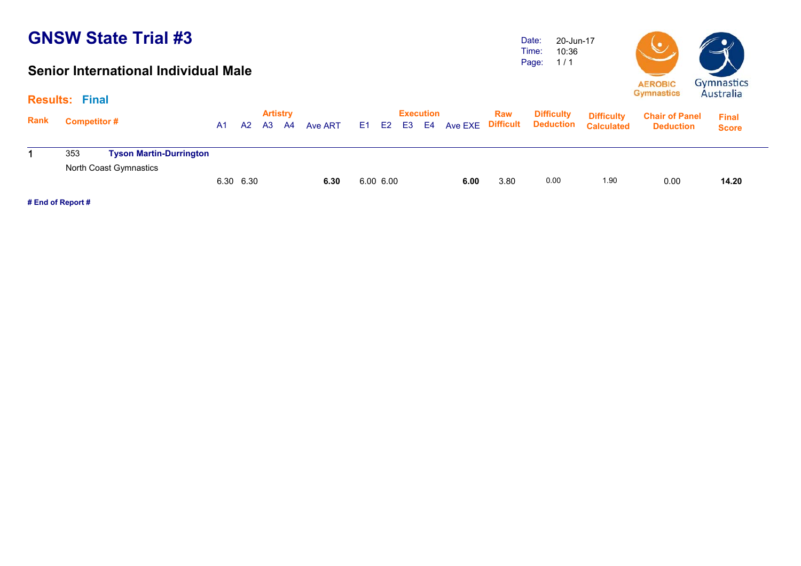#### **Senior International Individual Male**

Date: Time: Page: 20-Jun-17 10:36 1 / 1



|      | <b>Results: Final</b> |                                                          |                |    |                |                       |         |           |    |                        |                   |      |                                       |                                        |                                           |                              |
|------|-----------------------|----------------------------------------------------------|----------------|----|----------------|-----------------------|---------|-----------|----|------------------------|-------------------|------|---------------------------------------|----------------------------------------|-------------------------------------------|------------------------------|
| Rank | <b>Competitor#</b>    |                                                          | A <sub>1</sub> | A2 | A <sub>3</sub> | <b>Artistry</b><br>A4 | Ave ART | E1 E2     | E3 | <b>Execution</b><br>E4 | Ave EXE Difficult | Raw  | <b>Difficulty</b><br><b>Deduction</b> | <b>Difficulty</b><br><b>Calculated</b> | <b>Chair of Panel</b><br><b>Deduction</b> | <b>Final</b><br><b>Score</b> |
|      | 353                   | <b>Tyson Martin-Durrington</b><br>North Coast Gymnastics |                |    |                |                       |         |           |    |                        |                   |      |                                       |                                        |                                           |                              |
|      |                       |                                                          | 6.30 6.30      |    |                |                       | 6.30    | 6.00 6.00 |    |                        | 6.00              | 3.80 | 0.00                                  | 1.90                                   | 0.00                                      | 14.20                        |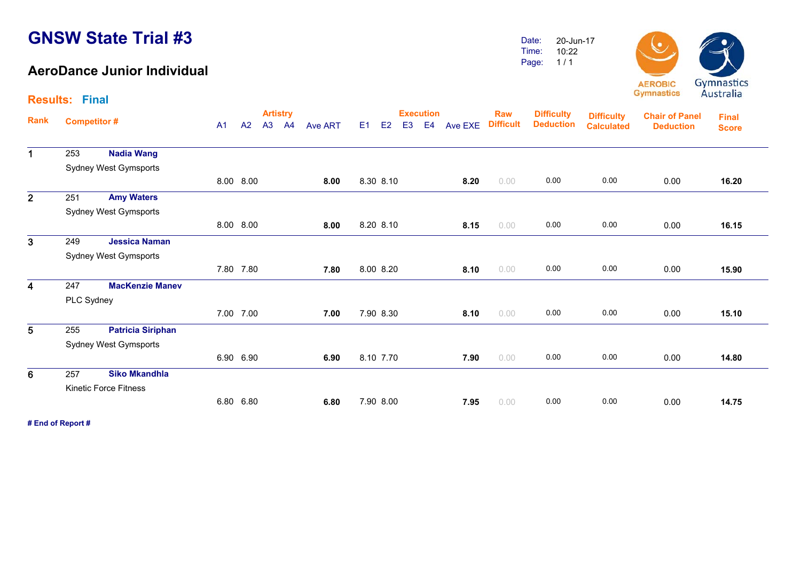**Results: Final**

#### **AeroDance Junior Individual**

Date: Time:Page: 20-Jun-1710:221 / 1



**Artistry Execution Rank**Execution Raw Difficulty <sub>Diffic</sub>ulty<br>A1 A2 A3 A4 Ave ART E1 E2 E3 E4 Ave EXE Difficult Deduction <sub>Calculate</sub> **Chair of Panel Deduction Final ScoreDifficulty Deduction Difficulty Calculated**1 253 **Nadia Wang** Sydney West Gymsports 8.00 8.00 **8.00** 8.30 8.10 **8.20** 0.00 0.00 0.00 0.00 **16.20**16.20 2 251 **Amy Waters** Sydney West Gymsports 8.00 8.00 **8.00** 8.20 8.10 **8.15** 0.00 0.00 0.00 0.00 **16.15**3 249 **Jessica Naman** Sydney West Gymsports 7.80 7.80 **7.807.80 8.00 8.20 <b>8.10 0.00 0.00 0.00 0.00 0.00** 15.90 4 247 **MacKenzie Manev**  PLC Sydney 7.00 7.00 **7.007.00** 7.90 8.30 **8.10** 0.00 0.00 0.00 0.00 0.00 15.10 5 255 **Patricia Siriphan** Sydney West Gymsports 6.90 6.90 **6.906.90** 8.10 7.70 **7.90** 0.00 0.00 0.00 0.00 0.00 14.80 6 257 **Siko Mkandhla** Kinetic Force Fitness 6.80 6.80 **6.806.80** 7.90 8.00 **7.95** 0.00 0.00 0.00 0.00 0.00 14.75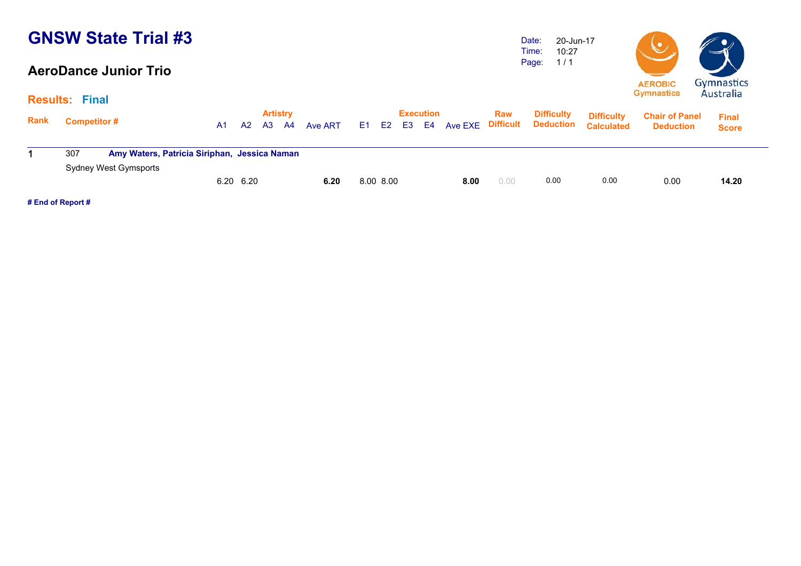#### **AeroDance Junior Trio**

Date: Time: Page: 20-Jun-17 10:27 1 / 1



|      | <b>Results: Final</b>                                                        |  |                                                    |  |  |      |           |    |                        |      |      |                                                  |                                        | $-1$                                      | 111111                       |
|------|------------------------------------------------------------------------------|--|----------------------------------------------------|--|--|------|-----------|----|------------------------|------|------|--------------------------------------------------|----------------------------------------|-------------------------------------------|------------------------------|
| Rank | <b>Competitor#</b>                                                           |  | <b>Artistry</b><br>A3<br>A2<br>Ave ART<br>A4<br>A1 |  |  |      | E1 E2     | E3 | <b>Execution</b><br>E4 |      | Raw  | <b>Difficulty</b><br>Ave EXE Difficult Deduction | <b>Difficulty</b><br><b>Calculated</b> | <b>Chair of Panel</b><br><b>Deduction</b> | <b>Final</b><br><b>Score</b> |
|      | Amy Waters, Patricia Siriphan, Jessica Naman<br>307<br>Sydney West Gymsports |  |                                                    |  |  |      |           |    |                        |      |      |                                                  |                                        |                                           |                              |
|      |                                                                              |  | 6.20 6.20                                          |  |  | 6.20 | 8.00 8.00 |    |                        | 8.00 | 0.00 | 0.00                                             | 0.00                                   | 0.00                                      | 14.20                        |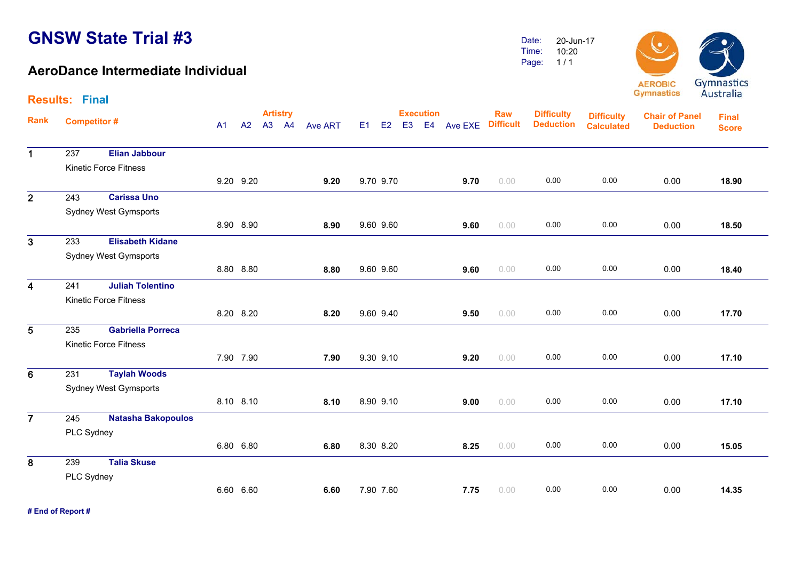**Results: Final**

#### **AeroDance Intermediate Individual**

Date:Time:Page: 20-Jun-1710:201 / 1



**Artistry Execution Rank**Execution Raw Difficulty <sub>Diffic</sub>ulty<br>A1 A2 A3 A4 Ave ART E1 E2 E3 E4 Ave EXE Difficult Deduction <sub>Calculate</sub> **Chair of Panel DeductionFinal ScoreDifficulty DeductionDifficulty Calculated**1 237 **Elian Jabbour** Kinetic Force Fitness9.20 9.20 **9.20** 9.70 9.70 **9.70** 0.00 0.00 0.00 0.00 **18.90**18.90 2 243 **Carissa Uno** Sydney West Gymsports 8.90 8.90 **8.90** 9.60 9.60 **9.60** 0.00 0.00 0.00 0.00 **18.50** $\overline{3}$  233 **Elisabeth Kidane** Sydney West Gymsports 8.80 8.80 **8.80** 9.60 9.60 **9.60** 0.00 0.00 0.00 0.00 **18.40**4 241 **Juliah Tolentino** Kinetic Force Fitness 8.20 8.20 **8.20** 9.60 9.40 **9.50** 0.00 0.00 0.00 0.00 **17.70**17.70 5 235 **Gabriella Porreca** Kinetic Force Fitness 7.90 7.90 **7.90** 9.30 9.10 **9.20** 0.00 0.00 0.00 0.00 **17.10**17.10 6 231 **Taylah Woods** Sydney West Gymsports 8.10 8.10 **8.108.10 8.90 9.10 <b>9.00** 0.00 **0.00 0.00 0.00 0.00** 17.10  $\overline{7}$  245 **Natasha Bakopoulos** PLC Sydney 6.80 6.80 **6.80** 8.30 8.20 **8.25** 0.00 0.00 0.00 0.00 **15.05**15.05 8 239 **Talia Skuse** PLC Sydney 6.60 6.60 **6.60**7.90 7.60 **7.75** 0.00 0.00 0.00 0.00 **14.35**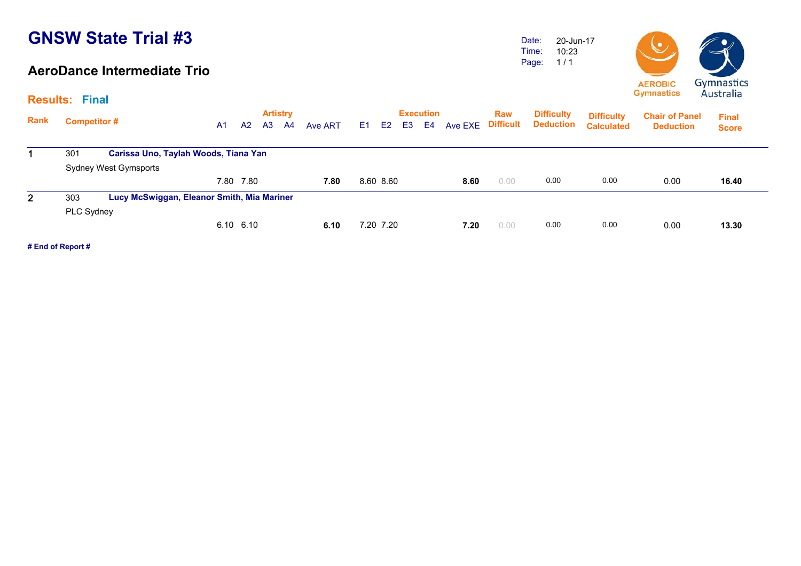#### **AeroDance Intermediate Trio**

Date: Time: Page: 20-Jun-1710:23 1 / 1



**Artistry Execution Rank**Execution Raw Difficulty <sub>Diffic</sub>ulty<br>A1 A2 A3 A4 Ave ART E1 E2 E3 E4 Ave EXE Difficult Deduction <sub>Calculate</sub> **Chair of Panel Deduction Final Score Difficulty Deduction Difficulty Calculated**1 301 **Carissa Uno, Taylah Woods, Tiana Yan** Sydney West Gymsports 7.80 7.80 **7.80** 8.60 8.60 **8.60** 0.00 0.00 0.00 0.00 **16.40**16.40 2 303 **Lucy McSwiggan, Eleanor Smith, Mia Mariner** PLC Sydney 6.10 6.10 **6.106.10 7.20 7.20 <b>7.20** 0.00 **0.00 0.00 0.00 0.00** 13.30

**# End of Report #**

**Results: Final**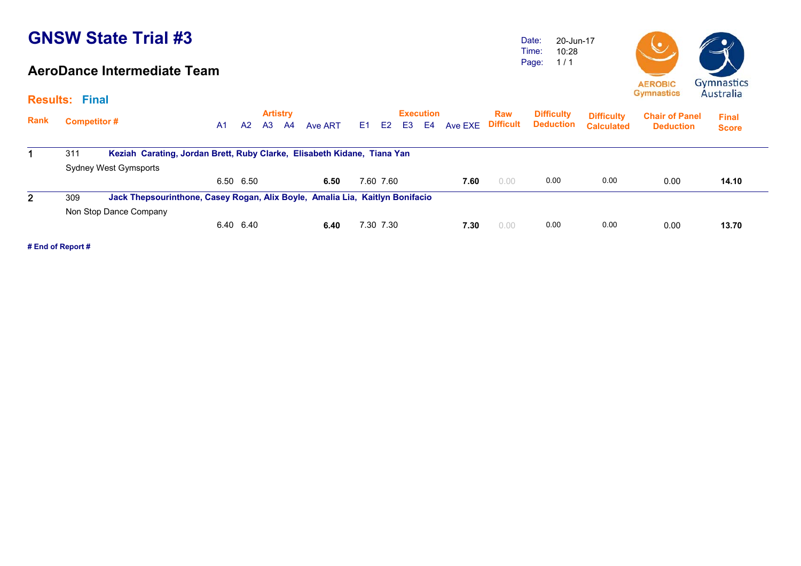#### **AeroDance Intermediate Team**

Date: Time: Page: 20-Jun-17 10:28 1 / 1



| Rank         | <b>Competitor#</b>     |                                                                              | <b>Artistry</b><br>A <sub>3</sub><br>A <sub>2</sub><br>A <sub>1</sub><br>A4<br>Ave ART |  |  |      |    |                | E <sub>3</sub> | <b>Execution</b><br>E4 | Ave EXE | <b>Raw</b><br><b>Difficult</b> | <b>Difficulty</b><br><b>Deduction</b> | <b>Difficulty</b><br><b>Calculated</b> | <b>Chair of Panel</b><br><b>Deduction</b> | <b>Final</b> |
|--------------|------------------------|------------------------------------------------------------------------------|----------------------------------------------------------------------------------------|--|--|------|----|----------------|----------------|------------------------|---------|--------------------------------|---------------------------------------|----------------------------------------|-------------------------------------------|--------------|
|              |                        |                                                                              |                                                                                        |  |  |      | E1 | E <sub>2</sub> |                |                        |         |                                |                                       |                                        |                                           | <b>Score</b> |
|              | 311                    | Keziah Carating, Jordan Brett, Ruby Clarke, Elisabeth Kidane, Tiana Yan      |                                                                                        |  |  |      |    |                |                |                        |         |                                |                                       |                                        |                                           |              |
|              | Sydney West Gymsports  |                                                                              |                                                                                        |  |  |      |    |                |                |                        |         |                                |                                       |                                        |                                           |              |
|              |                        |                                                                              | 6.50 6.50                                                                              |  |  | 6.50 |    | 7.60 7.60      |                |                        | 7.60    | 0.00                           | 0.00                                  | 0.00                                   | 0.00                                      | 14.10        |
| $\mathbf{2}$ | 309                    | Jack Thepsourinthone, Casey Rogan, Alix Boyle, Amalia Lia, Kaitlyn Bonifacio |                                                                                        |  |  |      |    |                |                |                        |         |                                |                                       |                                        |                                           |              |
|              | Non Stop Dance Company |                                                                              |                                                                                        |  |  |      |    |                |                |                        |         |                                |                                       |                                        |                                           |              |
|              |                        |                                                                              | 6.40 6.40                                                                              |  |  | 6.40 |    | 7.30 7.30      |                |                        | 7.30    | 0.00                           | 0.00                                  | 0.00                                   | 0.00                                      | 13.70        |

**# End of Report #**

**Results: Final**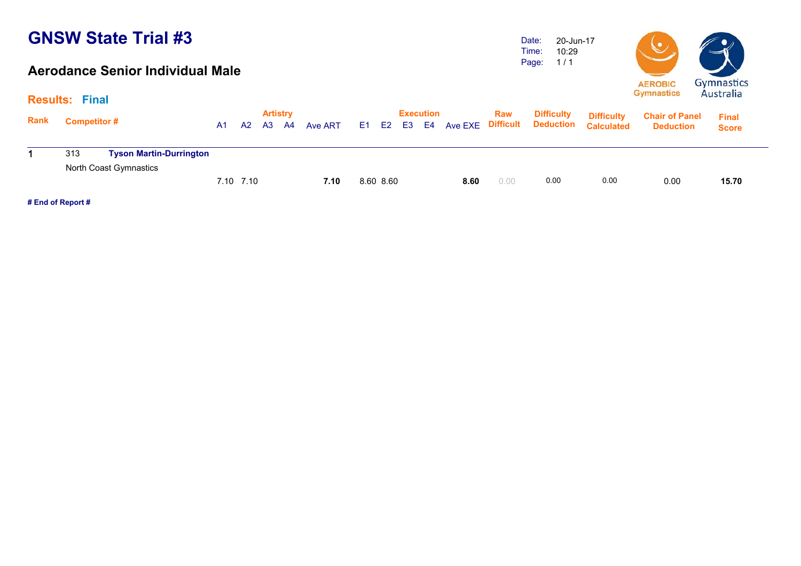#### **Aerodance Senior Individual Male**

Date: Time: Page: 20-Jun-17 10:29 1 / 1



|             | <b>Results: Final</b> |                                |    |           |    |                       |         |           |    |                        |      |            |                                                  |                                        | $-1$                                      | 111111                       |  |
|-------------|-----------------------|--------------------------------|----|-----------|----|-----------------------|---------|-----------|----|------------------------|------|------------|--------------------------------------------------|----------------------------------------|-------------------------------------------|------------------------------|--|
| <b>Rank</b> | <b>Competitor#</b>    |                                | A1 | A2        | A3 | <b>Artistry</b><br>A4 | Ave ART | E1 E2     | E3 | <b>Execution</b><br>E4 |      | <b>Raw</b> | <b>Difficulty</b><br>Ave EXE Difficult Deduction | <b>Difficulty</b><br><b>Calculated</b> | <b>Chair of Panel</b><br><b>Deduction</b> | <b>Final</b><br><b>Score</b> |  |
|             | 313                   | <b>Tyson Martin-Durrington</b> |    |           |    |                       |         |           |    |                        |      |            |                                                  |                                        |                                           |                              |  |
|             |                       | North Coast Gymnastics         |    | 7.10 7.10 |    |                       | 7.10    | 8.60 8.60 |    |                        | 8.60 | 0.00       | 0.00                                             | 0.00                                   | 0.00                                      | 15.70                        |  |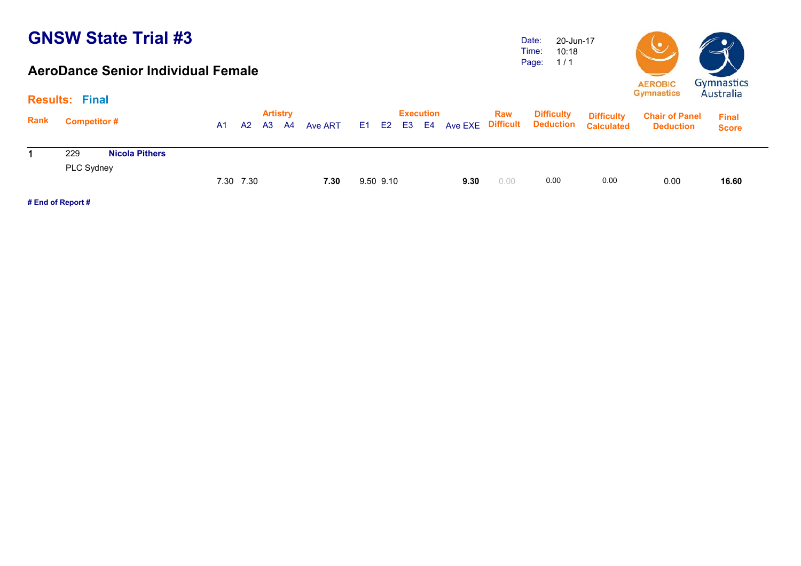#### **AeroDance Senior Individual Female**

Date: Time: Page: 20-Jun-17 10:18 1 / 1



|             | <b>Results: Final</b> |                       |           |    |                              |           |         |           |                  |      |            |                   |                                                                         |                                           | $11021$ and                  |  |
|-------------|-----------------------|-----------------------|-----------|----|------------------------------|-----------|---------|-----------|------------------|------|------------|-------------------|-------------------------------------------------------------------------|-------------------------------------------|------------------------------|--|
| <b>Rank</b> | <b>Competitor #</b>   |                       | A1        | A2 | <b>Artistry</b><br><b>A3</b> | <b>A4</b> | Ave ART |           | <b>Execution</b> |      | <b>Raw</b> | <b>Difficulty</b> | <b>Difficulty</b><br>E1 E2 E3 E4 Ave EXE Difficult Deduction Calculated | <b>Chair of Panel</b><br><b>Deduction</b> | <b>Final</b><br><b>Score</b> |  |
|             | 229                   | <b>Nicola Pithers</b> |           |    |                              |           |         |           |                  |      |            |                   |                                                                         |                                           |                              |  |
|             | PLC Sydney            |                       |           |    |                              |           |         |           |                  |      |            |                   |                                                                         |                                           |                              |  |
|             |                       |                       | 7.30 7.30 |    |                              |           | 7.30    | 9.50 9.10 |                  | 9.30 | 0.00       | 0.00              | 0.00                                                                    | 0.00                                      | 16.60                        |  |